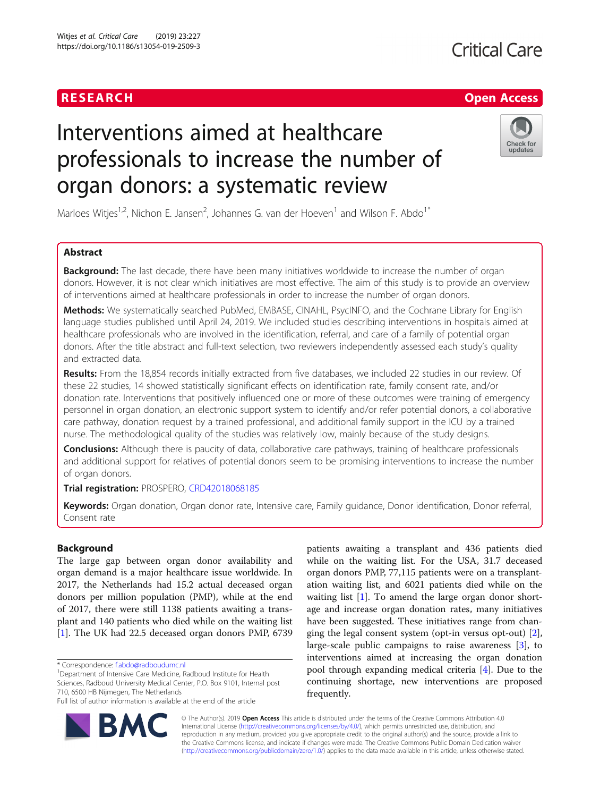# RESEARCH **RESEARCH CHANNEL EXECUTE THE EXECUTIVE OPEN Access**

# **Critical Care**

# Interventions aimed at healthcare professionals to increase the number of organ donors: a systematic review



Marloes Witjes<sup>1,2</sup>, Nichon E. Jansen<sup>2</sup>, Johannes G. van der Hoeven<sup>1</sup> and Wilson F. Abdo<sup>1\*</sup>

# Abstract

**Background:** The last decade, there have been many initiatives worldwide to increase the number of organ donors. However, it is not clear which initiatives are most effective. The aim of this study is to provide an overview of interventions aimed at healthcare professionals in order to increase the number of organ donors.

Methods: We systematically searched PubMed, EMBASE, CINAHL, PsycINFO, and the Cochrane Library for English language studies published until April 24, 2019. We included studies describing interventions in hospitals aimed at healthcare professionals who are involved in the identification, referral, and care of a family of potential organ donors. After the title abstract and full-text selection, two reviewers independently assessed each study's quality and extracted data.

Results: From the 18,854 records initially extracted from five databases, we included 22 studies in our review. Of these 22 studies, 14 showed statistically significant effects on identification rate, family consent rate, and/or donation rate. Interventions that positively influenced one or more of these outcomes were training of emergency personnel in organ donation, an electronic support system to identify and/or refer potential donors, a collaborative care pathway, donation request by a trained professional, and additional family support in the ICU by a trained nurse. The methodological quality of the studies was relatively low, mainly because of the study designs.

**Conclusions:** Although there is paucity of data, collaborative care pathways, training of healthcare professionals and additional support for relatives of potential donors seem to be promising interventions to increase the number of organ donors.

Trial registration: PROSPERO, [CRD42018068185](https://www.crd.york.ac.uk/prospero/display_record.php?RecordID=68185)

Keywords: Organ donation, Organ donor rate, Intensive care, Family guidance, Donor identification, Donor referral, Consent rate

# Background

The large gap between organ donor availability and organ demand is a major healthcare issue worldwide. In 2017, the Netherlands had 15.2 actual deceased organ donors per million population (PMP), while at the end of 2017, there were still 1138 patients awaiting a transplant and 140 patients who died while on the waiting list [[1\]](#page-16-0). The UK had 22.5 deceased organ donors PMP, 6739

\* Correspondence: [f.abdo@radboudumc.nl](mailto:f.abdo@radboudumc.nl) <sup>1</sup>

<sup>1</sup>Department of Intensive Care Medicine, Radboud Institute for Health Sciences, Radboud University Medical Center, P.O. Box 9101, Internal post 710, 6500 HB Nijmegen, The Netherlands

Full list of author information is available at the end of the article

patients awaiting a transplant and 436 patients died while on the waiting list. For the USA, 31.7 deceased organ donors PMP, 77,115 patients were on a transplantation waiting list, and 6021 patients died while on the waiting list [\[1](#page-16-0)]. To amend the large organ donor shortage and increase organ donation rates, many initiatives have been suggested. These initiatives range from changing the legal consent system (opt-in versus opt-out) [\[2](#page-16-0)], large-scale public campaigns to raise awareness [\[3](#page-16-0)], to interventions aimed at increasing the organ donation pool through expanding medical criteria [\[4](#page-16-0)]. Due to the continuing shortage, new interventions are proposed frequently.



© The Author(s). 2019 Open Access This article is distributed under the terms of the Creative Commons Attribution 4.0 International License [\(http://creativecommons.org/licenses/by/4.0/](http://creativecommons.org/licenses/by/4.0/)), which permits unrestricted use, distribution, and reproduction in any medium, provided you give appropriate credit to the original author(s) and the source, provide a link to the Creative Commons license, and indicate if changes were made. The Creative Commons Public Domain Dedication waiver [\(http://creativecommons.org/publicdomain/zero/1.0/](http://creativecommons.org/publicdomain/zero/1.0/)) applies to the data made available in this article, unless otherwise stated.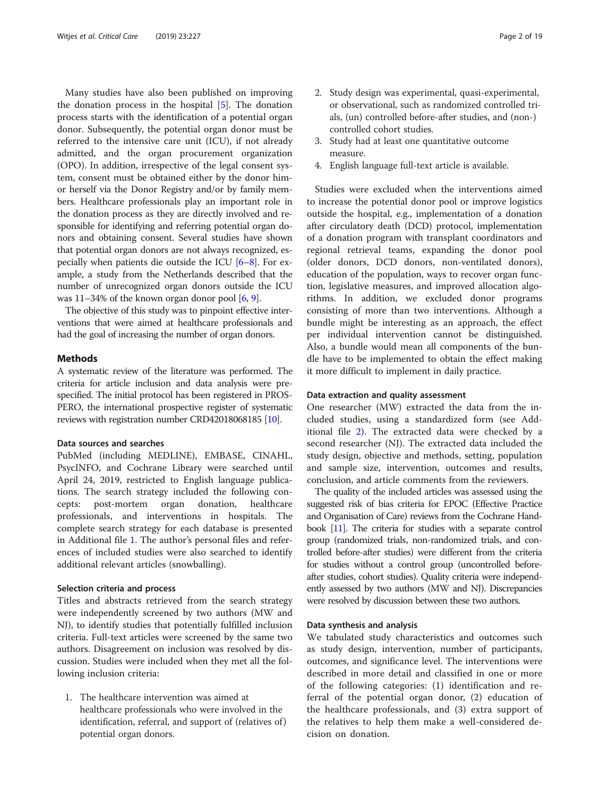Many studies have also been published on improving the donation process in the hospital [[5\]](#page-16-0). The donation process starts with the identification of a potential organ donor. Subsequently, the potential organ donor must be referred to the intensive care unit (ICU), if not already admitted, and the organ procurement organization (OPO). In addition, irrespective of the legal consent system, consent must be obtained either by the donor himor herself via the Donor Registry and/or by family members. Healthcare professionals play an important role in the donation process as they are directly involved and responsible for identifying and referring potential organ donors and obtaining consent. Several studies have shown that potential organ donors are not always recognized, especially when patients die outside the ICU [[6](#page-16-0)–[8](#page-17-0)]. For example, a study from the Netherlands described that the number of unrecognized organ donors outside the ICU was 11–34% of the known organ donor pool  $[6, 9]$  $[6, 9]$  $[6, 9]$  $[6, 9]$ .

The objective of this study was to pinpoint effective interventions that were aimed at healthcare professionals and had the goal of increasing the number of organ donors.

# Methods

A systematic review of the literature was performed. The criteria for article inclusion and data analysis were prespecified. The initial protocol has been registered in PROS-PERO, the international prospective register of systematic reviews with registration number CRD42018068185 [\[10\]](#page-17-0).

# Data sources and searches

PubMed (including MEDLINE), EMBASE, CINAHL, PsycINFO, and Cochrane Library were searched until April 24, 2019, restricted to English language publications. The search strategy included the following concepts: post-mortem organ donation, healthcare professionals, and interventions in hospitals. The complete search strategy for each database is presented in Additional file [1](#page-16-0). The author's personal files and references of included studies were also searched to identify additional relevant articles (snowballing).

# Selection criteria and process

Titles and abstracts retrieved from the search strategy were independently screened by two authors (MW and NJ), to identify studies that potentially fulfilled inclusion criteria. Full-text articles were screened by the same two authors. Disagreement on inclusion was resolved by discussion. Studies were included when they met all the following inclusion criteria:

1. The healthcare intervention was aimed at healthcare professionals who were involved in the identification, referral, and support of (relatives of ) potential organ donors.

- 2. Study design was experimental, quasi-experimental, or observational, such as randomized controlled trials, (un) controlled before-after studies, and (non-) controlled cohort studies.
- 3. Study had at least one quantitative outcome measure.
- 4. English language full-text article is available.

Studies were excluded when the interventions aimed to increase the potential donor pool or improve logistics outside the hospital, e.g., implementation of a donation after circulatory death (DCD) protocol, implementation of a donation program with transplant coordinators and regional retrieval teams, expanding the donor pool (older donors, DCD donors, non-ventilated donors), education of the population, ways to recover organ function, legislative measures, and improved allocation algorithms. In addition, we excluded donor programs consisting of more than two interventions. Although a bundle might be interesting as an approach, the effect per individual intervention cannot be distinguished. Also, a bundle would mean all components of the bundle have to be implemented to obtain the effect making it more difficult to implement in daily practice.

# Data extraction and quality assessment

One researcher (MW) extracted the data from the included studies, using a standardized form (see Additional file [2](#page-16-0)). The extracted data were checked by a second researcher (NJ). The extracted data included the study design, objective and methods, setting, population and sample size, intervention, outcomes and results, conclusion, and article comments from the reviewers.

The quality of the included articles was assessed using the suggested risk of bias criteria for EPOC (Effective Practice and Organisation of Care) reviews from the Cochrane Handbook [\[11](#page-17-0)]. The criteria for studies with a separate control group (randomized trials, non-randomized trials, and controlled before-after studies) were different from the criteria for studies without a control group (uncontrolled beforeafter studies, cohort studies). Quality criteria were independently assessed by two authors (MW and NJ). Discrepancies were resolved by discussion between these two authors.

# Data synthesis and analysis

We tabulated study characteristics and outcomes such as study design, intervention, number of participants, outcomes, and significance level. The interventions were described in more detail and classified in one or more of the following categories: (1) identification and referral of the potential organ donor, (2) education of the healthcare professionals, and (3) extra support of the relatives to help them make a well-considered decision on donation.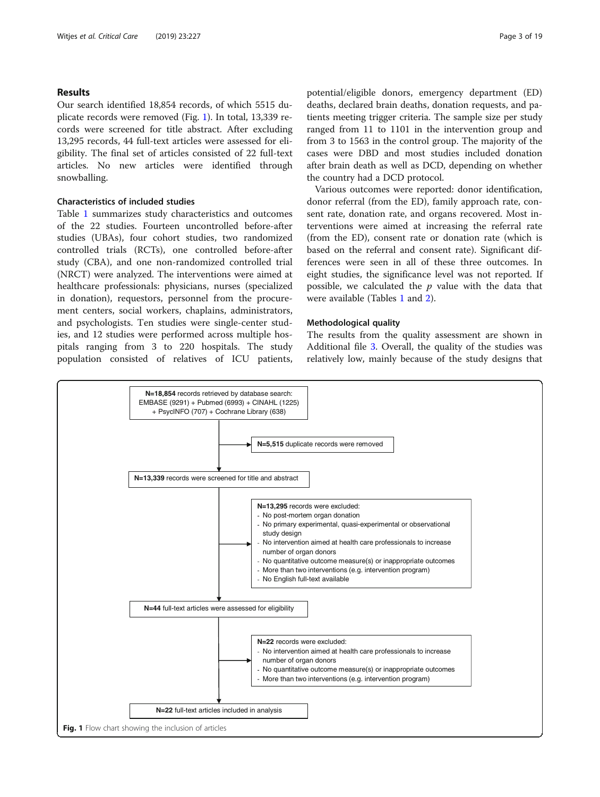# Results

Our search identified 18,854 records, of which 5515 duplicate records were removed (Fig. 1). In total, 13,339 records were screened for title abstract. After excluding 13,295 records, 44 full-text articles were assessed for eligibility. The final set of articles consisted of 22 full-text articles. No new articles were identified through snowballing.

# Characteristics of included studies

Table [1](#page-3-0) summarizes study characteristics and outcomes of the 22 studies. Fourteen uncontrolled before-after studies (UBAs), four cohort studies, two randomized controlled trials (RCTs), one controlled before-after study (CBA), and one non-randomized controlled trial (NRCT) were analyzed. The interventions were aimed at healthcare professionals: physicians, nurses (specialized in donation), requestors, personnel from the procurement centers, social workers, chaplains, administrators, and psychologists. Ten studies were single-center studies, and 12 studies were performed across multiple hospitals ranging from 3 to 220 hospitals. The study population consisted of relatives of ICU patients, potential/eligible donors, emergency department (ED) deaths, declared brain deaths, donation requests, and patients meeting trigger criteria. The sample size per study ranged from 11 to 1101 in the intervention group and from 3 to 1563 in the control group. The majority of the cases were DBD and most studies included donation after brain death as well as DCD, depending on whether the country had a DCD protocol.

Various outcomes were reported: donor identification, donor referral (from the ED), family approach rate, consent rate, donation rate, and organs recovered. Most interventions were aimed at increasing the referral rate (from the ED), consent rate or donation rate (which is based on the referral and consent rate). Significant differences were seen in all of these three outcomes. In eight studies, the significance level was not reported. If possible, we calculated the  $p$  value with the data that were available (Tables [1](#page-3-0) and [2\)](#page-9-0).

# Methodological quality

The results from the quality assessment are shown in Additional file [3.](#page-16-0) Overall, the quality of the studies was relatively low, mainly because of the study designs that

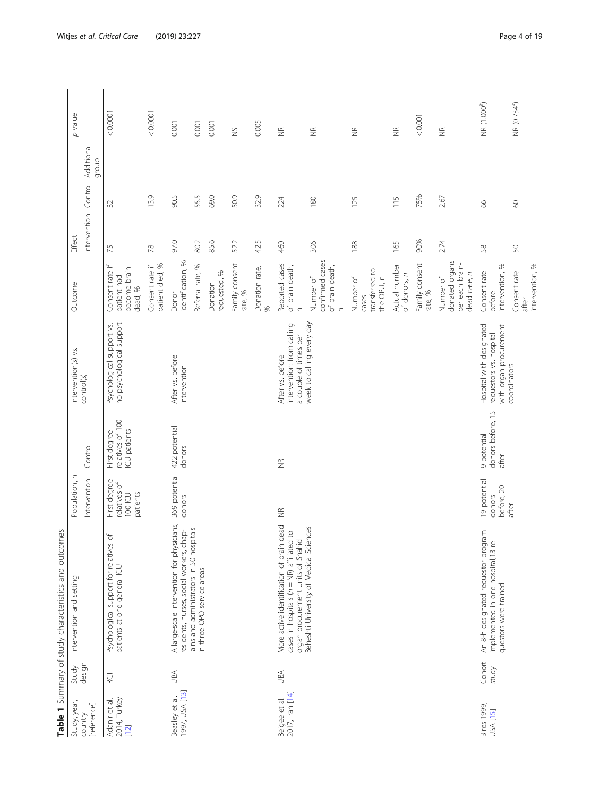<span id="page-3-0"></span>

|                                         |                 | Table 1 Summary of study characteristics and outcomes                                                                                 |                                                     |                                                  |                                                                               |                                                                |              |                                |                          |
|-----------------------------------------|-----------------|---------------------------------------------------------------------------------------------------------------------------------------|-----------------------------------------------------|--------------------------------------------------|-------------------------------------------------------------------------------|----------------------------------------------------------------|--------------|--------------------------------|--------------------------|
| Study, year,                            | Study           | Intervention and setting                                                                                                              | Population, n                                       |                                                  | Intervention(s) vs.                                                           | Outcome                                                        | Effect       |                                | p value                  |
| [reference]<br>country                  | design          |                                                                                                                                       | Intervention                                        | Control                                          | control(s)                                                                    |                                                                | Intervention | Additional<br>dionb<br>Control |                          |
| 2014, Turkey<br>Adanir et al.<br>$[12]$ | RCT             | $\sigma$<br>Psychological support for relatives<br>patients at one general ICU                                                        | First-degree<br>relatives of<br>patients<br>100 ICU | relatives of 100<br>ICU patients<br>First-degree | no psychological support<br>Psychological support vs.                         | Consent rate if<br>become brain<br>patient had<br>dead, %      | 75           | 32                             | < 0.0001                 |
|                                         |                 |                                                                                                                                       |                                                     |                                                  |                                                                               | Consent rate if<br>patient died, %                             | 78           | 13.9                           | < 0.0001                 |
| 1997, USA [13]<br>Beasley et al.        | <b>UBA</b>      | A large-scale intervention for physicians,<br>residents, nurses, social workers, chap-                                                | 369 potential<br>donors                             | 422 potential<br>donors                          | After vs. before<br>intervention                                              | identification, %<br>Donor                                     | 97.0         | 90.5                           | 0.001                    |
|                                         |                 | lains and administrators in 50 hospitals<br>in three OPO service areas                                                                |                                                     |                                                  |                                                                               | Referral rate, %                                               | 80.2         | 555                            | 0.001                    |
|                                         |                 |                                                                                                                                       |                                                     |                                                  |                                                                               | requested, %<br>Donation                                       | 85.6         | 69.0                           | 0.001                    |
|                                         |                 |                                                                                                                                       |                                                     |                                                  |                                                                               | Family consent<br>rate, %                                      | 52.2         | 50.9                           | $\gtrapprox$             |
|                                         |                 |                                                                                                                                       |                                                     |                                                  |                                                                               | Donation rate,<br>%                                            | 42.5         | 32.9                           | 0.005                    |
| 2017, Iran [14]<br>Beigee et al.        | <b>JBA</b>      | More active identification of brain dead<br>$\mbox{S}$<br>cases in hospitals (n = NR) affiliated<br>organ procurement units of Shahid | $\frac{\alpha}{2}$                                  | $\frac{\alpha}{2}$                               | intervention: from calling<br>a couple of times per<br>After vs. before       | Reported cases<br>of brain death,<br>$\subset$                 | 460          | 224                            | $\widetilde{\Xi}$        |
|                                         |                 | Beheshti University of Medical Sciences                                                                                               |                                                     |                                                  | week to calling every day                                                     | confirmed cases<br>of brain death,<br>Number of<br>$\subset$   | 306          | 180                            | $\widetilde{\Xi}$        |
|                                         |                 |                                                                                                                                       |                                                     |                                                  |                                                                               | transferred to<br>the OPU, n<br>Number of<br>cases             | 188          | 125                            | $\frac{\alpha}{2}$       |
|                                         |                 |                                                                                                                                       |                                                     |                                                  |                                                                               | Actual number<br>of donors, n                                  | 165          | 115                            | $\widetilde{\Xi}$        |
|                                         |                 |                                                                                                                                       |                                                     |                                                  |                                                                               | Family consent<br>rate, %                                      | 90%          | 75%                            | < 0.001                  |
|                                         |                 |                                                                                                                                       |                                                     |                                                  |                                                                               | donated organs<br>per each brain-<br>dead case, n<br>Number of | 2.74         | 2.67                           | $\frac{\alpha}{2}$       |
| Bires 1999,<br><b>USA</b> [15]          | Cohort<br>study | An 8-h designated requestor program<br>implemented in one hospital;13 re-<br>questors were trained                                    | 19 potential<br>before, 20<br>donors                | donors before, 15<br>9 potential<br>after        | Hospital with designated<br>with organ procurement<br>requestors vs. hospital | intervention, %<br>Consent rate<br>before                      | 58           | 89                             | NR (1.000 <sup>a</sup> ) |
|                                         |                 |                                                                                                                                       | after                                               |                                                  | coordinators                                                                  | intervention, %<br>Consent rate<br>after                       | 50           | $\odot$                        | NR (0.734 <sup>a</sup> ) |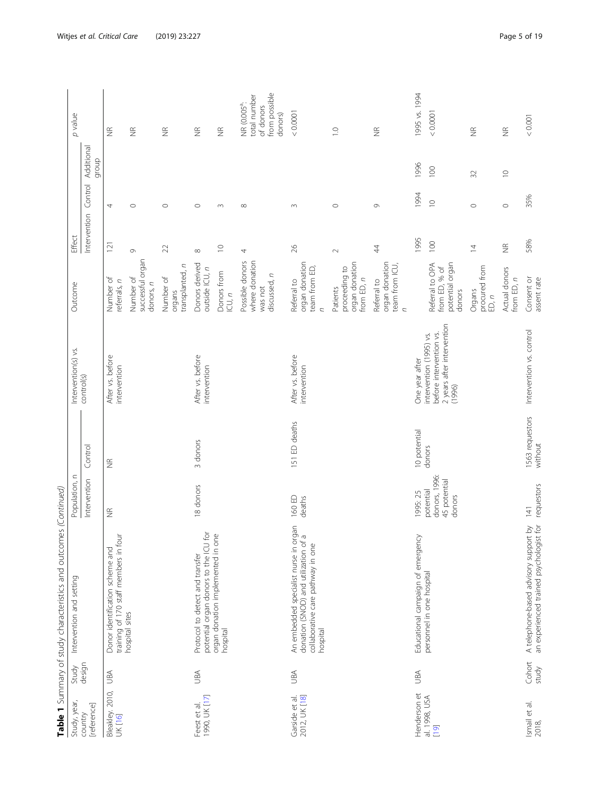|                                 |                 | Table 1 Summary of study characteristics and outcomes (Continued)                                                                        |                                                      |                            |                                                                                            |                                                                   |                      |             |                     |                                                                                   |
|---------------------------------|-----------------|------------------------------------------------------------------------------------------------------------------------------------------|------------------------------------------------------|----------------------------|--------------------------------------------------------------------------------------------|-------------------------------------------------------------------|----------------------|-------------|---------------------|-----------------------------------------------------------------------------------|
| Study, year,                    | Study           | Intervention and setting                                                                                                                 | Population,                                          |                            | Intervention(s) vs.                                                                        | Outcome                                                           | Effect               |             |                     | p value                                                                           |
| [reference]<br>country          | design          |                                                                                                                                          | Intervention                                         | Control                    | control(s)                                                                                 |                                                                   | Intervention Control |             | Additional<br>group |                                                                                   |
| Bleakley. 2010,<br>UK [16]      | UBA             | training of 170 staff members in four<br>Donor identification scheme and                                                                 | $\frac{\alpha}{2}$                                   | $\widetilde{\Xi}$          | After vs. before<br>intervention                                                           | Number of<br>referrals, n                                         | 121                  | 4           |                     | $\widetilde{\Xi}$                                                                 |
|                                 |                 | hospital sites                                                                                                                           |                                                      |                            |                                                                                            | successful organ<br>Number of<br>donors, n                        | $\circ$              | $\circ$     |                     | $\widetilde{\Xi}$                                                                 |
|                                 |                 |                                                                                                                                          |                                                      |                            |                                                                                            | transplanted, n<br>Number of<br>organs                            | 22                   | $\circ$     |                     | $\widetilde{\Xi}$                                                                 |
| 1990, UK [17]<br>Feest et al.   | UBA             | $\vec{\Theta}$<br>potential organ donors to the ICU<br>Protocol to detect and transfer                                                   | 18 donors                                            | 3 donors                   | After vs. before<br>intervention                                                           | Donors derived<br>outside ICU, n                                  | $\infty$             | $\circ$     |                     | $\widetilde{\Xi}$                                                                 |
|                                 |                 | organ donation implemented in one<br>hospital                                                                                            |                                                      |                            |                                                                                            | Donors from<br>CU, n                                              | $\supseteq$          | $\sim$      |                     | $\widetilde{\Xi}$                                                                 |
|                                 |                 |                                                                                                                                          |                                                      |                            |                                                                                            | Possible donors<br>where donation<br>discussed, n<br>was not      | 4                    | $\infty$    |                     | from possible<br>total number<br>NR (0.005 <sup>ª</sup> :<br>of donors<br>donors) |
| 2012, UK [18]<br>Garside et al. | <b>JBA</b>      | An embedded specialist nurse in organ<br>$\sigma$<br>donation (SNOD) and utilization of<br>collaborative care pathway in one<br>hospital | 160 ED<br>deaths                                     | 151 ED deaths              | After vs. before<br>intervention                                                           | organ donation<br>team from ED,<br>Referral to<br>$\overline{a}$  | 26                   | $\sim$      |                     | 0.0001                                                                            |
|                                 |                 |                                                                                                                                          |                                                      |                            |                                                                                            | organ donation<br>proceeding to<br>from ED, $n$<br>Patients       | $\sim$               | $\circ$     |                     | $\overline{C}$                                                                    |
|                                 |                 |                                                                                                                                          |                                                      |                            |                                                                                            | organ donation<br>team from ICU,<br>Referral to<br>$\overline{C}$ | $\overline{4}$       | $\circ$     |                     | $\widetilde{\Xi}$                                                                 |
| Henderson et                    | UBA             | Educational campaign of emergency                                                                                                        | 1995: 25                                             | 10 potential               | One year after                                                                             |                                                                   | 1995                 | 1994        | 1996                | 1995 vs. 1994                                                                     |
| al. 1998, USA<br>[19]           |                 | personnel in one hospital                                                                                                                | donors, 1996:<br>45 potential<br>potential<br>donors | donors                     | 2 years after intervention<br>before intervention vs.<br>intervention (1995) vs.<br>(1996) | potential organ<br>Referral to OPA<br>from ED, % of<br>donors     | 100                  | $\supseteq$ | 100                 | 0.0001                                                                            |
|                                 |                 |                                                                                                                                          |                                                      |                            |                                                                                            | procured from<br>Organs<br>ED, $n$                                | $\overline{4}$       | $\circ$     | 32                  | $\widetilde{\Xi}$                                                                 |
|                                 |                 |                                                                                                                                          |                                                      |                            |                                                                                            | Actual donors<br>from ED, $n$                                     | $\widetilde{\Xi}$    | $\circ$     | $\supseteq$         | $\widetilde{\Xi}$                                                                 |
| Ismail et al.<br>2018,          | Cohort<br>study | A telephone-based advisory support by<br>an experienced trained psychologist for                                                         | requestors<br>$\frac{1}{4}$                          | 1563 requestors<br>without | Intervention vs. control                                                                   | Consent or<br>assent rate                                         | 58%                  | 35%         |                     | 0.001                                                                             |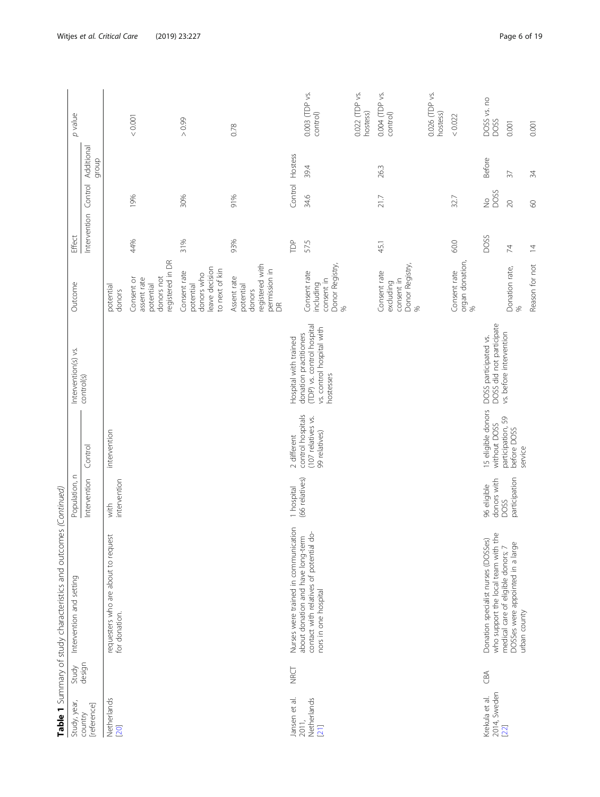|                                |        | Table 1 Summary of study characteristics and outcomes (Continued)                                                      |                              |                                                          |                                                                                                |                                                                                                |                                 |                 |                 |                            |
|--------------------------------|--------|------------------------------------------------------------------------------------------------------------------------|------------------------------|----------------------------------------------------------|------------------------------------------------------------------------------------------------|------------------------------------------------------------------------------------------------|---------------------------------|-----------------|-----------------|----------------------------|
| Study, year,                   | Study  | Intervention and setting                                                                                               | Population, n                |                                                          | Intervention(s) vs.                                                                            | Outcome                                                                                        | Effect                          |                 |                 | p value                    |
| [reference]<br>country         | design |                                                                                                                        | Intervention                 | Control                                                  | control(s)                                                                                     |                                                                                                | Intervention Control Additional |                 | dionb           |                            |
| Netherlands<br>[20]            |        | requesters who are about to request<br>for donation.                                                                   | intervention<br>with         | intervention                                             |                                                                                                | potential<br>donors                                                                            |                                 |                 |                 |                            |
|                                |        |                                                                                                                        |                              |                                                          |                                                                                                | registered in DR<br>donors not<br>Consent or<br>assent rate<br>potential                       | 44%                             | 19%             |                 | < 0.001                    |
|                                |        |                                                                                                                        |                              |                                                          |                                                                                                | leave decision<br>to next of kin<br>Consent rate<br>donors who<br>potential                    | 31%                             | 30%             |                 | > 0.99                     |
|                                |        |                                                                                                                        |                              |                                                          |                                                                                                | registered with<br>permission in<br>Assent rate<br>potential<br>donors<br>$\tilde{\mathbb{B}}$ | 93%                             | 91%             |                 | 0.78                       |
| Jansen et al.                  | NRCT   | Nurses were trained in communication                                                                                   | 1 hospital                   | 2 different                                              | Hospital with trained                                                                          |                                                                                                | È                               | Control Hostess |                 |                            |
| Netherlands<br>[21]<br>2011,   |        | $\frac{1}{\alpha}$<br>about donation and have long-term<br>contact with relatives of potential<br>nors in one hospital | (66 relatives)               | control hospitals<br>(107 relatives vs.<br>99 relatives) | (TDP) vs. control hospital<br>vs. control hospital with<br>donation practitioners<br>hostesses | Donor Registry,<br>Consent rate<br>consent in<br>including<br>×,                               | 575                             | 34.6            | 39.4            | 0.003 (TDP vs.<br>control) |
|                                |        |                                                                                                                        |                              |                                                          |                                                                                                |                                                                                                |                                 |                 |                 | 0.022 (TDP vs.<br>hostess) |
|                                |        |                                                                                                                        |                              |                                                          |                                                                                                | Donor Registry,<br>Consent rate<br>consent in<br>excluding<br>$\frac{8}{2}$                    | 45.1                            | 21.7            | 263             | 0.004 (TDP vs.<br>control) |
|                                |        |                                                                                                                        |                              |                                                          |                                                                                                |                                                                                                |                                 |                 |                 | 0.026 (TDP vs.<br>hostess) |
|                                |        |                                                                                                                        |                              |                                                          |                                                                                                | organ donation,<br>%<br>Consent rate                                                           | 60.0                            | 32.7            |                 | < 0.022                    |
| 2014, Sweden<br>Krekula et al. | CBA    | who support the local team with the<br>Donation specialist nurses (DOSSes)                                             | donors with<br>96 eligible   | 15 eligible donors<br>without DOSS                       | DOSS participated vs.<br>DOSS did not participate                                              |                                                                                                | <b>DOSS</b>                     | No<br>DOSS      | Before          | DOSS vs. no<br>DOSS        |
| [22]                           |        | DOSSes were appointed in a large<br>medical care of eligible donors; 7<br>urban county                                 | participation<br><b>DOSS</b> | participation, 59<br>before DOSS<br>service              | vs. before intervention                                                                        | Donation rate,<br>$\%$                                                                         | $\overline{7}$                  | 20              | $\overline{37}$ | 0.001                      |
|                                |        |                                                                                                                        |                              |                                                          |                                                                                                | Reason for not                                                                                 | $\overline{4}$                  | 60              | 34              | 0.001                      |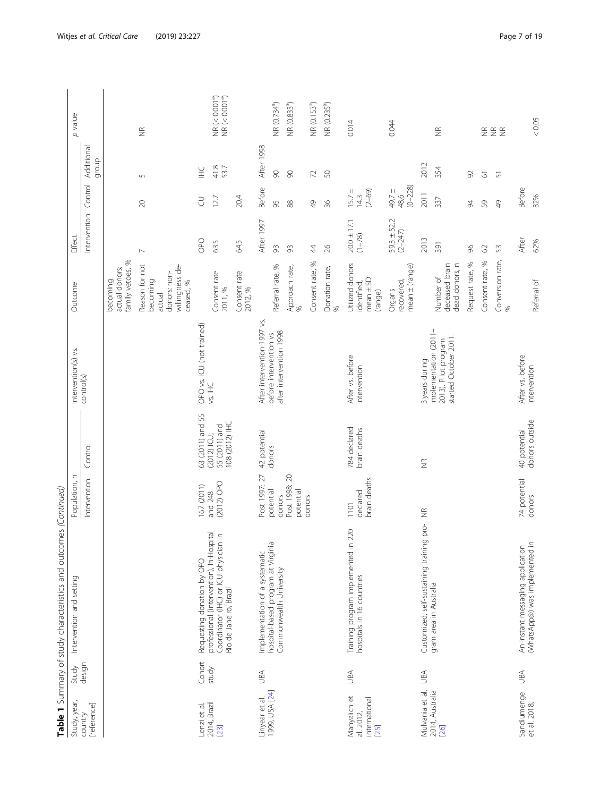|                                                      |            | Table 1 Summary of study characteristics and outcomes (Continued)                                           |                                  |                                                |                                                                        |                                                                                      |                               |                                 |                     |                                    |
|------------------------------------------------------|------------|-------------------------------------------------------------------------------------------------------------|----------------------------------|------------------------------------------------|------------------------------------------------------------------------|--------------------------------------------------------------------------------------|-------------------------------|---------------------------------|---------------------|------------------------------------|
| Study, year,                                         | Study      | Intervention and setting                                                                                    | Population, n                    |                                                | Intervention(s) vs.                                                    | Outcome                                                                              | Effect                        |                                 |                     | p value                            |
| [reference]<br>country                               | design     |                                                                                                             | Intervention                     | Control                                        | control(s)                                                             |                                                                                      | Intervention Control          |                                 | Additional<br>dionb |                                    |
|                                                      |            |                                                                                                             |                                  |                                                |                                                                        | family vetoes, %<br>actual donors:<br>becoming                                       |                               |                                 |                     |                                    |
|                                                      |            |                                                                                                             |                                  |                                                |                                                                        | willingness de-<br>Reason for not<br>donors: non-<br>becoming<br>ceased, %<br>actual | $\overline{ }$                | 20                              | $\sqrt{ }$          | $\widetilde{\Xi}$                  |
| Lenzi et al.                                         | Cohort     | Requesting donation by OPO                                                                                  | 167 (2011)                       | 63 (2011) and 55                               | OPO vs. ICU (not trained)                                              |                                                                                      | OPO                           | $\supseteq$                     | $\frac{\cup}{\pm}$  |                                    |
| 2014, Brazil<br>[23]                                 | study      | professional (intervention), In-Hospital<br>Coordinator (IHC) or ICU physician in<br>Rio de Janeiro, Brazil | $(2012)$ OPO<br>and 248          | 108 (2012) IHC<br>55 (2011) and<br>(2012) ICU; | vs. IHC                                                                | Consent rate<br>2011, %                                                              | 63.5                          | 127                             | 41.8<br>53.7        | $NR (< 0.0019)$<br>NR $(< 0.0019)$ |
|                                                      |            |                                                                                                             |                                  |                                                |                                                                        | Consent rate<br>2012, %                                                              | 64.5                          | 20.4                            |                     |                                    |
| Linyear et al.                                       | <b>JBA</b> | Implementation of a systematic                                                                              | Post 1997: 27                    | 42 potential                                   | After intervention 1997 vs.                                            |                                                                                      | <b>After 1997</b>             | Before                          | After 1998          |                                    |
| 1999, USA [24]                                       |            | hospital-based program at Virginia<br>Commonwealth University                                               | potential<br>donors              | donors                                         | after intervention 1998<br>before intervention vs.                     | Referral rate, %                                                                     | 93                            | 95                              | $\infty$            | NR (0.734 <sup>a</sup> )           |
|                                                      |            |                                                                                                             | Post 1998: 20<br>potential       |                                                |                                                                        | Approach rate,<br>%                                                                  | 93                            | $88$                            | $\infty$            | NR (0.833 <sup>a</sup> )           |
|                                                      |            |                                                                                                             | donors                           |                                                |                                                                        | Consent rate, %                                                                      | $\overline{4}$                | $\frac{1}{2}$                   | 72                  | NR (0.153 <sup>a</sup> )           |
|                                                      |            |                                                                                                             |                                  |                                                |                                                                        | Donation rate,<br>$\aleph$                                                           | 26                            | 36                              | 50                  | NR (0.235 <sup>ª</sup> )           |
| Manyalich et<br>international<br>al. 2012,<br>$[25]$ | <b>ASU</b> | Training program implemented in 220<br>hospitals in 16 countries                                            | brain deaths<br>declared<br>1101 | 784 declared<br>brain deaths                   | After vs. before<br>intervention                                       | Utilized donors<br>$mean \pm SD$<br>identified,<br>(range)                           | $20.0 \pm 17.1$<br>$(1 - 78)$ | $15.7 \pm$<br>$(2 - 69)$<br>143 |                     | 0.014                              |
|                                                      |            |                                                                                                             |                                  |                                                |                                                                        | mean ± (range)<br>recovered,<br>Organs                                               | $59.3 + 52.2$<br>$(2 - 247)$  | $(0 - 228)$<br>49.7 ±<br>48,6   |                     | 0.044                              |
| Mulvania et al.                                      | UBA        | Customized, self-sustaining training pro-                                                                   | $\frac{\alpha}{2}$               | $\widetilde{\Xi}$                              | 3 years during                                                         |                                                                                      | 2013                          | 2011                            | 2012                |                                    |
| 2014, Australia<br>26                                |            | gram area in Australia                                                                                      |                                  |                                                | implementation (2011-<br>started October 2011.<br>2013). Pilot program | deceased brain<br>dead donors, n<br>Number of                                        | 391                           | 337                             | 354                 | $\frac{\alpha}{2}$                 |
|                                                      |            |                                                                                                             |                                  |                                                |                                                                        | Request rate, %                                                                      | 96                            | 94                              | 92                  |                                    |
|                                                      |            |                                                                                                             |                                  |                                                |                                                                        | Consent rate, %                                                                      | $\odot$                       | 59                              | $\overline{\circ}$  |                                    |
|                                                      |            |                                                                                                             |                                  |                                                |                                                                        | Conversion rate,<br>$\%$                                                             | 53                            | $\frac{1}{4}$                   | $\overline{5}$      | E E E                              |
| Sandiumenge                                          | UBA        | An instant messaging application                                                                            | 74 potential                     | 40 potential                                   | After vs. before                                                       |                                                                                      | After                         | Before                          |                     |                                    |
| et al. 2018,                                         |            | (WhatsApp@) was implemented in                                                                              | donors                           | donors outside                                 | intervention                                                           | Referral of                                                                          | 62%                           | 32%                             |                     | &0.05                              |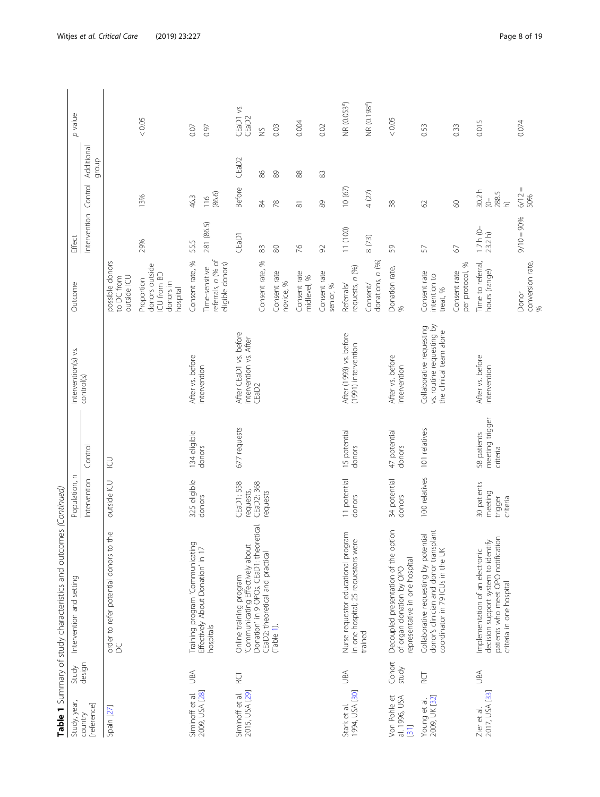|                                       |                 | Table 1 Summary of study characteristics and outcomes (Continued)                                                                        |                                               |                                            |                                                                                  |                                                                      |                      |                                                     |            |                          |
|---------------------------------------|-----------------|------------------------------------------------------------------------------------------------------------------------------------------|-----------------------------------------------|--------------------------------------------|----------------------------------------------------------------------------------|----------------------------------------------------------------------|----------------------|-----------------------------------------------------|------------|--------------------------|
| Study, year,                          | Study           | Intervention and setting                                                                                                                 | Population,                                   |                                            | Intervention(s) vs.                                                              | Outcome                                                              | Effect               |                                                     |            | p value                  |
| [reference]<br>country                | design          |                                                                                                                                          | Intervention                                  | Control                                    | control(s)                                                                       |                                                                      | Intervention Control | dionb                                               | Additional |                          |
| Spain [27]                            |                 | the<br>order to refer potential donors to<br>$\geq$                                                                                      | outside ICU                                   | $\supseteq$                                |                                                                                  | possible donors<br>outside ICU<br>to DC from                         |                      |                                                     |            |                          |
|                                       |                 |                                                                                                                                          |                                               |                                            |                                                                                  | donors outside<br>ICU from BD<br>Proportion<br>donors in<br>hospital | 29%                  | 13%                                                 |            | $< 0.05$                 |
| Siminoff et al.<br>2009, USA [28]     | <b>A</b>        | Training program 'Communicating                                                                                                          | 325 eligible                                  | 134 eligible                               | After vs. before                                                                 | Consent rate, %                                                      | 555                  | 463                                                 |            | 0.07                     |
|                                       |                 | Effectively About Donation' in 17<br>hospitals                                                                                           | donors                                        | donors                                     | intervention                                                                     | referrals, n (% of<br>eligible donors)<br>Time-sensitive             | 281 (86.5)           | (86.6)<br>$\frac{6}{116}$                           |            | 0.97                     |
| 2015, USA [29]<br>Siminoff et al.     | RCT             | 'Communicating Effectively about<br>Donation' in 9 OPOs. CEaD1: theoretical<br>Online training program                                   | CEaD1: 558<br>requests,<br>CEaD2: 368         | 677 requests                               | After CEaD1 vs. before<br>intervention vs. After                                 |                                                                      | CEaD1                | CEaD2<br>Before                                     |            | CEaD1 vs.<br>CEaD2       |
|                                       |                 | CEaD2: theoretical and practical                                                                                                         | requests                                      |                                            | CEaD2                                                                            | Consent rate, %                                                      | $83\,$               | 86<br>84                                            |            | $\gtrapprox$             |
|                                       |                 | (Table 1).                                                                                                                               |                                               |                                            |                                                                                  | Consent rate<br>novice, %                                            | $\rm 80$             | 89<br>78                                            |            | 0.03                     |
|                                       |                 |                                                                                                                                          |                                               |                                            |                                                                                  | Consent rate<br>midlevel, %                                          | 76                   | $88$<br>$\overline{\infty}$                         |            | 0.004                    |
|                                       |                 |                                                                                                                                          |                                               |                                            |                                                                                  | Consent rate<br>senior, %                                            | 92                   | $83$<br>89                                          |            | 0.02                     |
| 1994, USA [30]<br>Stark et al.        | <b>UBA</b>      | Nurse requestor educational program<br>in one hospital; 25 requestors were                                                               | 11 potential<br>donors                        | 15 potential<br>donors                     | After (1993) vs. before<br>(1991) intervention                                   | requests, n (%)<br>Referrals/                                        | 11(100)              | 10(67)                                              |            | NR (0.053 <sup>a</sup> ) |
|                                       |                 | trained                                                                                                                                  |                                               |                                            |                                                                                  | donations, n (%)<br>Consent/                                         | 8(73)                | 4(27)                                               |            | NR (0.198 <sup>a</sup> ) |
| Von Pohle et<br>al. 1996, USA<br>[31] | Cohort<br>study | Decoupled presentation of the option<br>representative in one hospital<br>of organ donation by OPO                                       | 34 potential<br>donors                        | 47 potential<br>donors                     | After vs. before<br>intervention                                                 | Donation rate,<br>$\%$                                               | 59                   | 38                                                  |            | 0.05                     |
| Young et al.<br>2009, UK [32]         | RCT             | donor's clinician and donor transplant<br>Collaborative requesting by potential<br>coordinator in 79 ICUs in the UK                      | 100 relatives                                 | 101 relatives                              | vs. routine requesting by<br>Collaborative requesting<br>the clinical team alone | Consent rate<br>intention to<br>treat, %                             | 57                   | 62                                                  |            | 0.53                     |
|                                       |                 |                                                                                                                                          |                                               |                                            |                                                                                  | per protocol, %<br>Consent rate                                      | 67                   | $\infty$                                            |            | 0.33                     |
| 2017, USA [33]<br>Zier et al.         | <b>UBA</b>      | patients who meet OPO notification<br>decision support system to identify<br>Implementation of an electronic<br>criteria in one hospital | 30 patients<br>meeting<br>trigger<br>criteria | meeting trigger<br>58 patients<br>criteria | After vs. before<br>intervention                                                 | Time to referral,<br>hours (range)                                   | 1.7h(0<br>23.2 h     | 30.2 <sub>h</sub><br>288.5<br>$\infty$<br>$\hat{z}$ |            | 0.015                    |
|                                       |                 |                                                                                                                                          |                                               |                                            |                                                                                  | conversion rate,<br>%<br>Donor                                       | $9/10 = 90%$         | $6/12 =$<br>50%                                     |            | 0.074                    |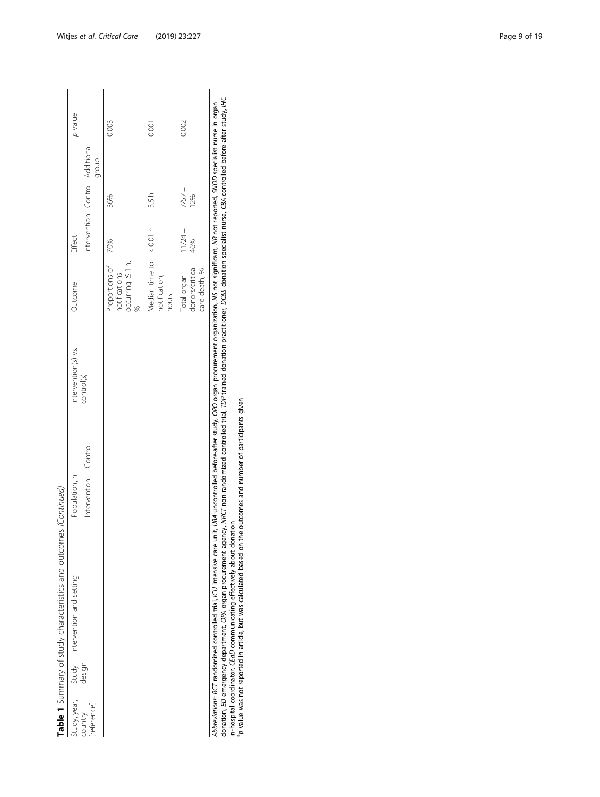| Study, year,           |        | Study Intervention and setting | Population, n        | Intervention(s) vs. | Outcome                                                            | Effect          |                                          | p value |
|------------------------|--------|--------------------------------|----------------------|---------------------|--------------------------------------------------------------------|-----------------|------------------------------------------|---------|
| [reference]<br>country | design |                                | Intervention Control | control(s)          |                                                                    |                 | Intervention Control Additional<br>diorb |         |
|                        |        |                                |                      |                     | Proportions of 70%<br>$occuring \leq 1 h$ ,<br>notifications<br>Š. |                 | 36%                                      | 0.003   |
|                        |        |                                |                      |                     | Median time to < 0.01 h<br>notification,<br>hours                  |                 | 3.5 h                                    | 0.001   |
|                        |        |                                |                      |                     | donors/critical<br>care death, %<br>Total organ                    | $1/24 =$<br>46% | $7/57 =$<br>0%                           | 0.002   |

Abbrevations: Kc / randomized controlled trial, ICU intensive care unt, U&A uncontrolled before-after study, OPO organ procurement organization, NS not significant, NK not reported, SNOU specialist nurse in organ<br>donation, donation, ED emergency department, OPA organ procurement agency, NRCT non-randomized controlled trial, TDP trained donation practitioner, DOSS donation specialist nurse, CBA controlled before-after study, IHC Abbreviations: RCT randomized controlled trial, ICU intensive care unit, UBA uncontrolled before-after study, OPO organ procurement organization, NS not significant, NR not reported, SNOD specialist nurse in organ in-hospital coordinator, CEaD communicating effectively about donation

 $^3p$  value was not reported in article, but was calculated based on the outcomes and number of participants given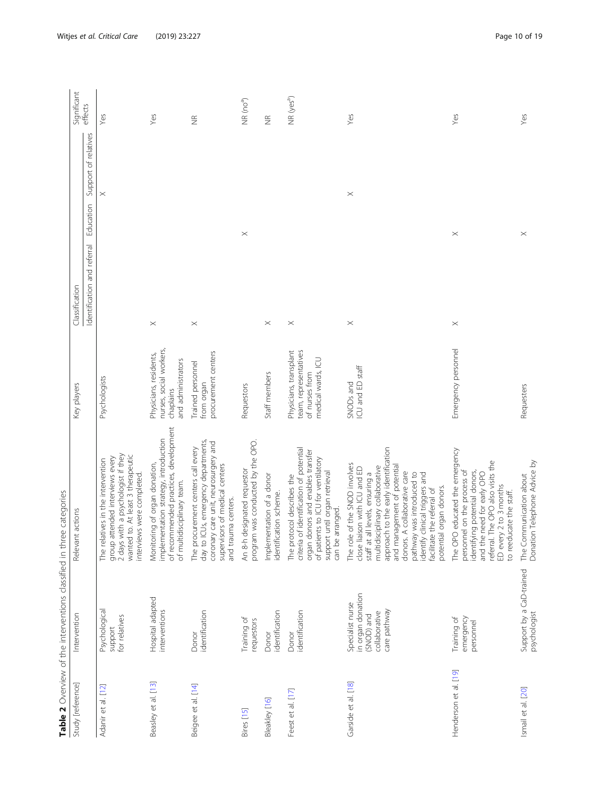<span id="page-9-0"></span>

|                       | Table 2 Overview of the interventions classified in three categories                 |                                                                                                                                                                                                                                                                                                                                                                           |                                                                                         |                             |           |                      |                        |
|-----------------------|--------------------------------------------------------------------------------------|---------------------------------------------------------------------------------------------------------------------------------------------------------------------------------------------------------------------------------------------------------------------------------------------------------------------------------------------------------------------------|-----------------------------------------------------------------------------------------|-----------------------------|-----------|----------------------|------------------------|
| Study [reference]     | Intervention                                                                         | Relevant actions                                                                                                                                                                                                                                                                                                                                                          | Key players                                                                             | Classification              |           |                      | Significant            |
|                       |                                                                                      |                                                                                                                                                                                                                                                                                                                                                                           |                                                                                         | Identification and referral | Education | Support of relatives | effects                |
| Adanir et al. [12]    | Psychological<br>for relatives<br>support                                            | 2 days with a psychologist if they<br>wanted to. At least 3 therapeutic<br>group attended interviews every<br>atives in the intervention<br>interviews were completed.<br>The rela                                                                                                                                                                                        | Psychologists                                                                           |                             | $\times$  |                      | Yes                    |
| Beasley et al. [13]   | Hospital adapted<br>interventions                                                    | of recommended practices, development<br>implementation strategy, introduction<br>Monitoring of organ donation,<br>of multidisciplinary team.                                                                                                                                                                                                                             | nurses, social workers<br>Physicians, residents,<br>and administrators<br>chaplains     | $\! \times$                 |           |                      | Yes                    |
| Beigee et al. [14]    | identification<br>Donor                                                              | day to ICUs, emergency departments,<br>coronary care unit, neurosurgery and<br>The procurement centers call every<br>supervisors of medical centers<br>and trauma centers.                                                                                                                                                                                                | procurement centers<br>Trained personnel<br>from organ                                  | $\boldsymbol{\times}$       |           |                      | $\widetilde{\Xi}$      |
| Bires [15]            | Training of<br>requestors                                                            | program was conducted by the OPO.<br>An 8-h designated requestor                                                                                                                                                                                                                                                                                                          | Requestors                                                                              |                             | $\times$  |                      | NR (no <sup>ª</sup> )  |
| Bleakley [16]         | identification<br>Donor                                                              | Implementation of a donor<br>identification scheme.                                                                                                                                                                                                                                                                                                                       | Staff members                                                                           | $\times$                    |           |                      | $\frac{\alpha}{2}$     |
| Feest et al. [17]     | identification<br>Donor                                                              | criteria of identification of potential<br>organ donors and enables transfer<br>of patients to ICU for ventilatory<br>support until organ retrieval<br>The protocol describes the<br>can be arranged.                                                                                                                                                                     | Physicians, transplant<br>team, representatives<br>medical wards, ICU<br>of nurses from | $\times$                    |           |                      | NR (yes <sup>a</sup> ) |
| Garside et al. [18]   | in organ donation<br>Specialist nurse<br>care pathway<br>collaborative<br>(SNOD) and | approach to the early identification<br>The role of the SNOD involves<br>and management of potential<br>close liaison with ICU and ED<br>multidisciplinary collaborative<br>A collaborative care<br>staff at all levels, ensuring a<br>pathway was introduced to<br>clinical triggers and<br>potential organ donors.<br>facilitate the referral of<br>donors.<br>identify | ICU and ED staff<br>SNODs and                                                           | $\times$                    | $\times$  |                      | Yes                    |
| Henderson et al. [19] | Training of<br>emergency<br>personnel                                                | The OPO educated the emergency<br>referral. The OPO also visits the<br>personnel on the process of<br>identifying potential donors,<br>and the need for early OPO<br>ED every 2 to 3 months<br>to reeducate the staff.                                                                                                                                                    | Emergency personnel                                                                     | $\times$                    | $\times$  |                      | Yes                    |
| Ismail et al. [20]    | Support by a CaD-trained<br>psychologist                                             | The Communication about<br>Donation Telephone Advice by                                                                                                                                                                                                                                                                                                                   | Requesters                                                                              |                             | $\times$  |                      | Yes                    |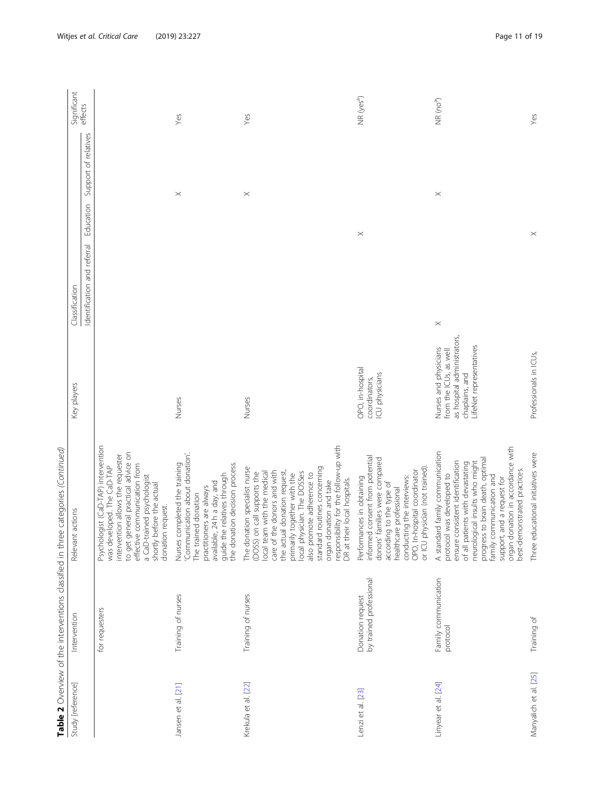|                       |                                             | Table 2 Overview of the interventions classified in three categories (Continued)                                                                                                                                                                                                                                                                                                          |                                                                                                                             |                             |           |                      |                        |
|-----------------------|---------------------------------------------|-------------------------------------------------------------------------------------------------------------------------------------------------------------------------------------------------------------------------------------------------------------------------------------------------------------------------------------------------------------------------------------------|-----------------------------------------------------------------------------------------------------------------------------|-----------------------------|-----------|----------------------|------------------------|
| Study [reference]     | Intervention                                | Relevant actions                                                                                                                                                                                                                                                                                                                                                                          | Key players                                                                                                                 | Classification              |           |                      | Significant<br>effects |
|                       |                                             |                                                                                                                                                                                                                                                                                                                                                                                           |                                                                                                                             | Identification and referral | Education | Support of relatives |                        |
|                       | for requesters                              | Psychologist (CaD-TAP) intervention<br>general practical advice on<br>intervention allows the requester<br>effective communication from<br>was developed. The CaD-TAP<br>a CaD-trained psychologist<br>shortly before the actual<br>donation request.<br>to get                                                                                                                           |                                                                                                                             |                             |           |                      |                        |
| Jansen et al. [21]    | Training of nurses                          | 'Communication about donation'.<br>Nurses completed the training<br>the donation decision process.<br>guide the relatives through<br>available, 24 h a day, and<br>practitioners are always<br>The trained donation                                                                                                                                                                       | Nurses                                                                                                                      |                             | $\times$  |                      | Yes                    |
| Krekula et al. [22]   | Training of nurses                          | responsibility for the follow-up with<br>standard routines concerning<br>The donation specialist nurse<br>care of the donors and with<br>the actual donation request,<br>local team with the medical<br>local physician. The DOSSes<br>(DOSS) on call supports the<br>primarily together with the<br>also promote adherence to<br>DR at their local hospitals.<br>organ donation and take | Nurses                                                                                                                      |                             | $\times$  |                      | Yes                    |
| Lenzi et al. [23]     | by trained professional<br>Donation request | informed consent from potential<br>donors' families were compared<br>physician (not trained)<br>OPO, In-hospital coordinator<br>Performances in obtaining<br>conducting the interviews:<br>according to the type of<br>healthcare professional<br>or ICU                                                                                                                                  | OPO, in-hospital<br>ICU physicians<br>coordinators,                                                                         |                             | $\times$  |                      | NR (yes <sup>a</sup> ) |
| Linyear et al. [24]   | Family communication<br>protocol            | organ donation in accordance with<br>A standard family communication<br>progress to brain death, optimal<br>ensure consistent identification<br>neurological insults who might<br>of all patients with devastating<br>best-demonstrated practices.<br>protocol was developed to<br>family communication and<br>support, and a request for                                                 | as hospital administrators,<br>LifeNet representatives<br>Nurses and physicians<br>from the ICUs, as well<br>chaplains, and | $\times$                    | $\times$  |                      | NR (noª)               |
| Manyalich et al. [25] | Training of                                 | Three educational initiatives were                                                                                                                                                                                                                                                                                                                                                        | Professionals in ICUs,                                                                                                      |                             | $\times$  |                      | Yes                    |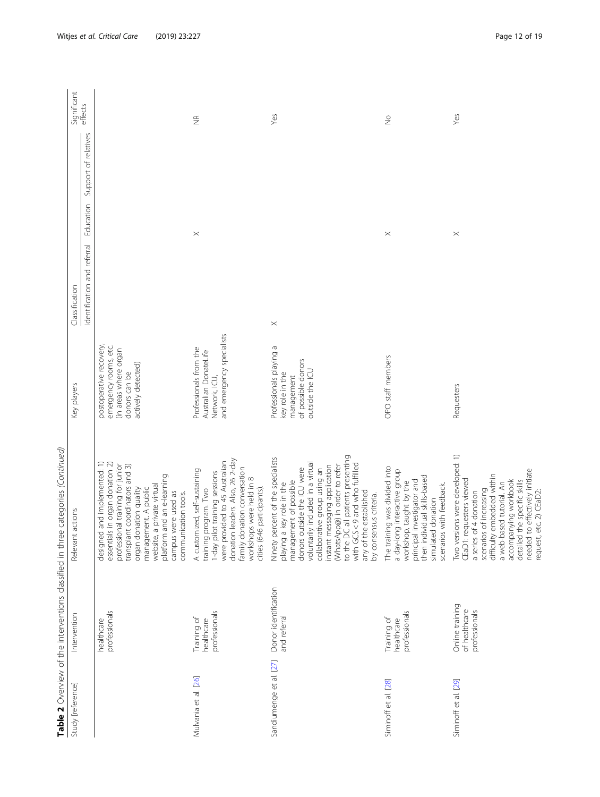| ۱<br>j<br>J<br>l                                                           |  |
|----------------------------------------------------------------------------|--|
| ۱                                                                          |  |
| ١<br>ł<br>֖֖֖֖֖֖֖֧ׅׅ֚֚֚֚֚֚֚֚֚֚֚֚֚֚֚֚֚֚֬֝֓֡֬֝֬֝֓֬֝֓֬<br>$\overline{ }$<br>i |  |
|                                                                            |  |
| İ<br>١<br>j                                                                |  |
| í                                                                          |  |
|                                                                            |  |
|                                                                            |  |
| I<br>I<br>÷                                                                |  |
| l<br>l<br>I                                                                |  |

|                         |                                                   | Table 2 Overview of the interventions classified in three categories (Continued)                                                                                                                                                                                                                                                                                                             |                                                                                                                  |                                          |                      |                   |
|-------------------------|---------------------------------------------------|----------------------------------------------------------------------------------------------------------------------------------------------------------------------------------------------------------------------------------------------------------------------------------------------------------------------------------------------------------------------------------------------|------------------------------------------------------------------------------------------------------------------|------------------------------------------|----------------------|-------------------|
| Study [reference]       | Intervention                                      | nt actions<br>Relevar                                                                                                                                                                                                                                                                                                                                                                        | Key players                                                                                                      | Classification                           |                      | Significant       |
|                         |                                                   |                                                                                                                                                                                                                                                                                                                                                                                              |                                                                                                                  | Education<br>Identification and referral | Support of relatives | effects           |
|                         | professionals<br>healthcare                       | designed and implemented: 1)<br>essentials in organ donation 2)<br>professional training for junior<br>transplant coordinators and 3)<br>platform and an e-learning<br>website, a private virtual<br>management. A public<br>organ donation quality<br>campus were used as<br>communication tools.                                                                                           | postoperative recovery,<br>emergency rooms, etc.<br>(in areas where organ<br>actively detected)<br>donors can be |                                          |                      |                   |
| Mulvania et al. [26]    | professionals<br>Training of<br>healthcare        | donation leaders. Also, 26 2-day<br>were provided to 45 Australian<br>donation conversation<br>A customized, self-sustaining<br>1-day pilot training sessions<br>workshops were held in 8<br>cities (646 participants).<br>training program. Two<br>family                                                                                                                                   | and emergency specialists<br>Professionals from the<br>Australian DonateLife<br>Network, ICU,                    | $\times$                                 |                      | $\widetilde{\Xi}$ |
| Sandiumenge et al. [27] | Donor identification<br>and referral              | to the DC all patients presenting<br>Ninety percent of the specialists<br>voluntarily included in a virtual<br>with GCS < 9 and who fulfilled<br>(WhatsApp@) in order to refer<br>messaging application<br>donors outside the ICU were<br>collaborative group using an<br>management of possible<br>playing a key role in the<br>any of the established<br>by consensus criteria.<br>instant | Professionals playing a<br>of possible donors<br>outside the ICU<br>key role in the<br>management                | $\times$                                 |                      | Yes               |
| Siminoff et al. [28]    | professionals<br>Training of<br>healthcare        | The training was divided into<br>a day-long interactive group<br>then individual skills-based<br>principal investigator and<br>workshop, taught by the<br>scenarios with feedback.<br>simulated donation                                                                                                                                                                                     | OPO staff members                                                                                                | $\times$                                 |                      | $\frac{0}{2}$     |
| Siminoff et al. [29]    | Online training<br>of healthcare<br>professionals | Two versions were developed: 1)<br>detailed the specific skills<br>needed to effectively initiate<br>difficulty embedded within<br>: requesters viewed<br>accompanying workbook<br>a web-based tutorial. An<br>scenarios of increasing<br>request, etc. 2) CEaD2:<br>a series of 4 donation<br>CEaD1:                                                                                        | Requesters                                                                                                       | $\boldsymbol{\times}$                    |                      | Yes               |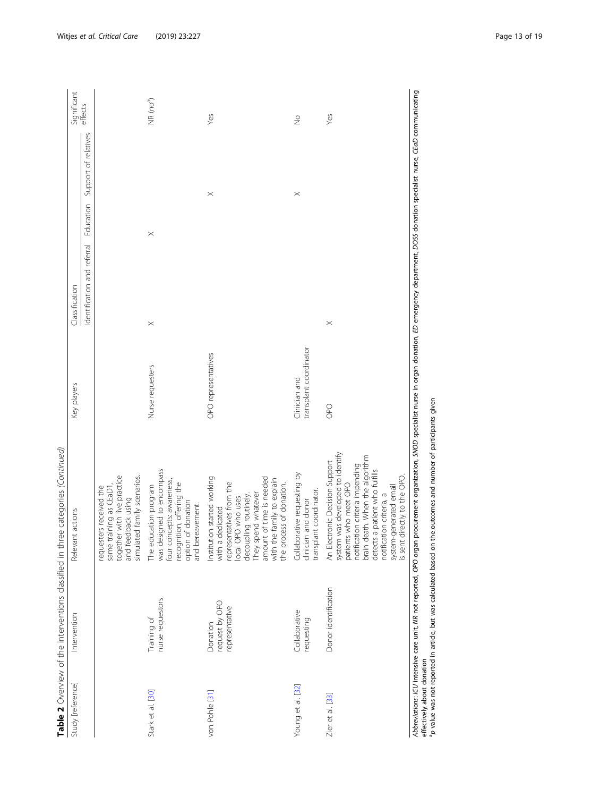|                   |                                              | Table 2 Overview of the interventions classified in three categories (Continued)                                                                                                                                                        |                                         |                             |                                   |                        |
|-------------------|----------------------------------------------|-----------------------------------------------------------------------------------------------------------------------------------------------------------------------------------------------------------------------------------------|-----------------------------------------|-----------------------------|-----------------------------------|------------------------|
| Study [reference] | Intervention                                 | Relevant actions                                                                                                                                                                                                                        | Key players                             | Classification              |                                   | Significant<br>effects |
|                   |                                              |                                                                                                                                                                                                                                         |                                         | Identification and referral | Support of relatives<br>Education |                        |
|                   |                                              | same training as CEaD1,<br>together with live practice<br>simulated family scenarios.<br>requesters received the<br>and feedback using                                                                                                  |                                         |                             |                                   |                        |
| Stark et al. [30] | nurse requestors<br>Training of              | The education program<br>was designed to encompass<br>four concepts: awareness,<br>recognition, offering the<br>option of donation<br>and bereavement.                                                                                  | Nurse requesters                        | $\times$<br>$\times$        |                                   | NR (noª)               |
| von Pohle [31]    | request by OPO<br>representative<br>Donation | Institution started working<br>amount of time is needed<br>with the family to explain<br>representatives from the<br>local OPO who uses<br>the process of donation.<br>They spend whatever<br>decoupling routinely.<br>with a dedicated | OPO representatives                     |                             | $\times$                          | Yes                    |
| Young et al. [32] | Collaborative<br>requesting                  | Collaborative requesting by<br>transplant coordinator.<br>clinician and donor                                                                                                                                                           | transplant coordinator<br>Clinician and |                             | $\times$                          | $\frac{1}{2}$          |
| Zier et al. [33]  | Donor identification                         | system was developed to identify<br>brain death. When the algorithm<br>An Electronic Decision Support<br>notification criteria impending<br>detects a patient who fulfills<br>patients who meet OPO                                     | <b>OPO</b>                              | $\times$                    |                                   | Yes                    |

is sent directly to the OPO. is sent directly to the OPO. system-generated email system-generated email notification criteria, a notification criteria, a

Abbreviations: ICU intensive care unit, WR not reported, OPO organ procurement organization, SNOD specialist nurse in organ donation, ED emergency department, DOSS donation specialist nurse, CEaD communicating<br>effectively Abbreviations: ICU intensive care unit, NR not reported, OPO organ procurement organization, SNOD specialist nurse in organ donation, ED emergency department, DOSS donation specialist nurse, CEaD communicating effectively about donation

 $^3$ p value was not reported in article, but was calculated based on the outcomes and number of participants given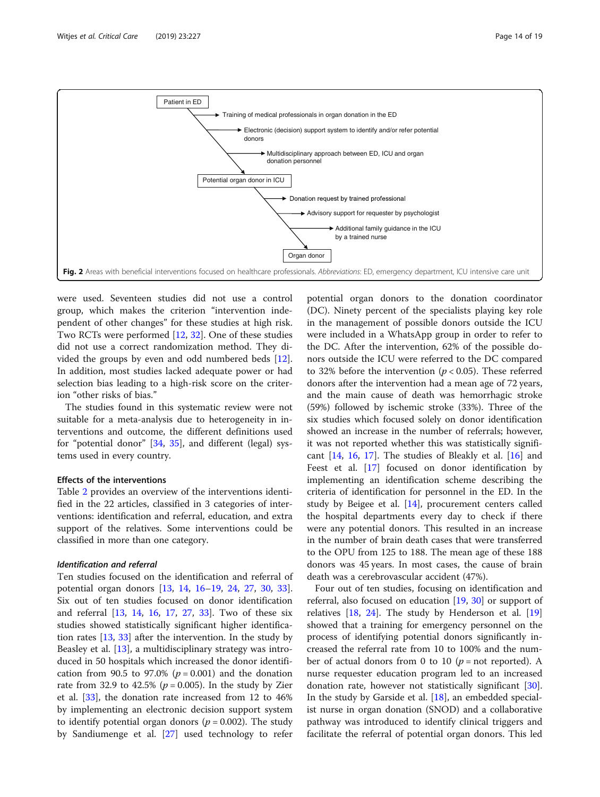

<span id="page-13-0"></span>

were used. Seventeen studies did not use a control group, which makes the criterion "intervention independent of other changes" for these studies at high risk. Two RCTs were performed [\[12](#page-17-0), [32\]](#page-17-0). One of these studies did not use a correct randomization method. They divided the groups by even and odd numbered beds [\[12](#page-17-0)]. In addition, most studies lacked adequate power or had selection bias leading to a high-risk score on the criterion "other risks of bias."

The studies found in this systematic review were not suitable for a meta-analysis due to heterogeneity in interventions and outcome, the different definitions used for "potential donor" [[34,](#page-17-0) [35](#page-17-0)], and different (legal) systems used in every country.

# Effects of the interventions

Table [2](#page-9-0) provides an overview of the interventions identified in the 22 articles, classified in 3 categories of interventions: identification and referral, education, and extra support of the relatives. Some interventions could be classified in more than one category.

# Identification and referral

Ten studies focused on the identification and referral of potential organ donors [[13,](#page-17-0) [14](#page-17-0), [16](#page-17-0)–[19](#page-17-0), [24,](#page-17-0) [27](#page-17-0), [30,](#page-17-0) [33](#page-17-0)]. Six out of ten studies focused on donor identification and referral [\[13,](#page-17-0) [14,](#page-17-0) [16](#page-17-0), [17](#page-17-0), [27,](#page-17-0) [33](#page-17-0)]. Two of these six studies showed statistically significant higher identification rates [\[13](#page-17-0), [33](#page-17-0)] after the intervention. In the study by Beasley et al. [\[13\]](#page-17-0), a multidisciplinary strategy was introduced in 50 hospitals which increased the donor identification from 90.5 to 97.0% ( $p = 0.001$ ) and the donation rate from 32.9 to 42.5% ( $p = 0.005$ ). In the study by Zier et al. [[33\]](#page-17-0), the donation rate increased from 12 to 46% by implementing an electronic decision support system to identify potential organ donors ( $p = 0.002$ ). The study by Sandiumenge et al. [[27\]](#page-17-0) used technology to refer

potential organ donors to the donation coordinator (DC). Ninety percent of the specialists playing key role in the management of possible donors outside the ICU were included in a WhatsApp group in order to refer to the DC. After the intervention, 62% of the possible donors outside the ICU were referred to the DC compared to 32% before the intervention ( $p < 0.05$ ). These referred donors after the intervention had a mean age of 72 years, and the main cause of death was hemorrhagic stroke (59%) followed by ischemic stroke (33%). Three of the six studies which focused solely on donor identification showed an increase in the number of referrals; however, it was not reported whether this was statistically significant  $[14, 16, 17]$  $[14, 16, 17]$  $[14, 16, 17]$  $[14, 16, 17]$  $[14, 16, 17]$  $[14, 16, 17]$ . The studies of Bleakly et al.  $[16]$  $[16]$  and Feest et al. [\[17](#page-17-0)] focused on donor identification by implementing an identification scheme describing the criteria of identification for personnel in the ED. In the study by Beigee et al. [\[14](#page-17-0)], procurement centers called the hospital departments every day to check if there were any potential donors. This resulted in an increase in the number of brain death cases that were transferred to the OPU from 125 to 188. The mean age of these 188 donors was 45 years. In most cases, the cause of brain death was a cerebrovascular accident (47%).

Four out of ten studies, focusing on identification and referral, also focused on education [[19,](#page-17-0) [30\]](#page-17-0) or support of relatives  $[18, 24]$  $[18, 24]$  $[18, 24]$  $[18, 24]$ . The study by Henderson et al.  $[19]$  $[19]$  $[19]$ showed that a training for emergency personnel on the process of identifying potential donors significantly increased the referral rate from 10 to 100% and the number of actual donors from 0 to 10  $(p = not reported)$ . A nurse requester education program led to an increased donation rate, however not statistically significant [\[30](#page-17-0)]. In the study by Garside et al. [[18\]](#page-17-0), an embedded specialist nurse in organ donation (SNOD) and a collaborative pathway was introduced to identify clinical triggers and facilitate the referral of potential organ donors. This led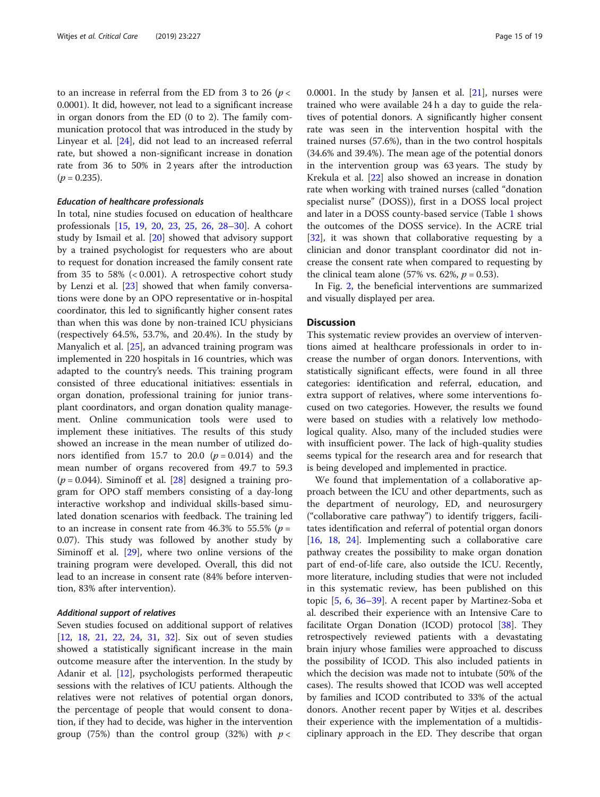to an increase in referral from the ED from 3 to 26 ( $p$  < 0.0001). It did, however, not lead to a significant increase in organ donors from the ED (0 to 2). The family communication protocol that was introduced in the study by Linyear et al. [[24](#page-17-0)], did not lead to an increased referral rate, but showed a non-significant increase in donation rate from 36 to 50% in 2 years after the introduction  $(p = 0.235)$ .

# Education of healthcare professionals

In total, nine studies focused on education of healthcare professionals [\[15,](#page-17-0) [19,](#page-17-0) [20](#page-17-0), [23,](#page-17-0) [25](#page-17-0), [26,](#page-17-0) [28](#page-17-0)–[30](#page-17-0)]. A cohort study by Ismail et al. [\[20\]](#page-17-0) showed that advisory support by a trained psychologist for requesters who are about to request for donation increased the family consent rate from 35 to 58% (< 0.001). A retrospective cohort study by Lenzi et al. [\[23](#page-17-0)] showed that when family conversations were done by an OPO representative or in-hospital coordinator, this led to significantly higher consent rates than when this was done by non-trained ICU physicians (respectively 64.5%, 53.7%, and 20.4%). In the study by Manyalich et al. [\[25\]](#page-17-0), an advanced training program was implemented in 220 hospitals in 16 countries, which was adapted to the country's needs. This training program consisted of three educational initiatives: essentials in organ donation, professional training for junior transplant coordinators, and organ donation quality management. Online communication tools were used to implement these initiatives. The results of this study showed an increase in the mean number of utilized donors identified from 15.7 to 20.0 ( $p = 0.014$ ) and the mean number of organs recovered from 49.7 to 59.3  $(p = 0.044)$ . Siminoff et al. [\[28\]](#page-17-0) designed a training program for OPO staff members consisting of a day-long interactive workshop and individual skills-based simulated donation scenarios with feedback. The training led to an increase in consent rate from 46.3% to 55.5% ( $p =$ 0.07). This study was followed by another study by Siminoff et al. [\[29\]](#page-17-0), where two online versions of the training program were developed. Overall, this did not lead to an increase in consent rate (84% before intervention, 83% after intervention).

# Additional support of relatives

Seven studies focused on additional support of relatives [[12,](#page-17-0) [18](#page-17-0), [21](#page-17-0), [22,](#page-17-0) [24](#page-17-0), [31](#page-17-0), [32\]](#page-17-0). Six out of seven studies showed a statistically significant increase in the main outcome measure after the intervention. In the study by Adanir et al. [[12\]](#page-17-0), psychologists performed therapeutic sessions with the relatives of ICU patients. Although the relatives were not relatives of potential organ donors, the percentage of people that would consent to donation, if they had to decide, was higher in the intervention group (75%) than the control group (32%) with  $p <$ 

0.0001. In the study by Jansen et al. [[21\]](#page-17-0), nurses were trained who were available 24 h a day to guide the relatives of potential donors. A significantly higher consent rate was seen in the intervention hospital with the trained nurses (57.6%), than in the two control hospitals (34.6% and 39.4%). The mean age of the potential donors in the intervention group was 63 years. The study by Krekula et al. [\[22\]](#page-17-0) also showed an increase in donation rate when working with trained nurses (called "donation specialist nurse" (DOSS)), first in a DOSS local project and later in a DOSS county-based service (Table [1](#page-3-0) shows the outcomes of the DOSS service). In the ACRE trial [[32\]](#page-17-0), it was shown that collaborative requesting by a clinician and donor transplant coordinator did not increase the consent rate when compared to requesting by the clinical team alone (57% vs. 62%,  $p = 0.53$ ).

In Fig. [2,](#page-13-0) the beneficial interventions are summarized and visually displayed per area.

# **Discussion**

This systematic review provides an overview of interventions aimed at healthcare professionals in order to increase the number of organ donors. Interventions, with statistically significant effects, were found in all three categories: identification and referral, education, and extra support of relatives, where some interventions focused on two categories. However, the results we found were based on studies with a relatively low methodological quality. Also, many of the included studies were with insufficient power. The lack of high-quality studies seems typical for the research area and for research that is being developed and implemented in practice.

We found that implementation of a collaborative approach between the ICU and other departments, such as the department of neurology, ED, and neurosurgery ("collaborative care pathway") to identify triggers, facilitates identification and referral of potential organ donors [[16,](#page-17-0) [18,](#page-17-0) [24\]](#page-17-0). Implementing such a collaborative care pathway creates the possibility to make organ donation part of end-of-life care, also outside the ICU. Recently, more literature, including studies that were not included in this systematic review, has been published on this topic [[5,](#page-16-0) [6,](#page-16-0) [36](#page-17-0)–[39\]](#page-17-0). A recent paper by Martinez-Soba et al. described their experience with an Intensive Care to facilitate Organ Donation (ICOD) protocol [[38\]](#page-17-0). They retrospectively reviewed patients with a devastating brain injury whose families were approached to discuss the possibility of ICOD. This also included patients in which the decision was made not to intubate (50% of the cases). The results showed that ICOD was well accepted by families and ICOD contributed to 33% of the actual donors. Another recent paper by Witjes et al. describes their experience with the implementation of a multidisciplinary approach in the ED. They describe that organ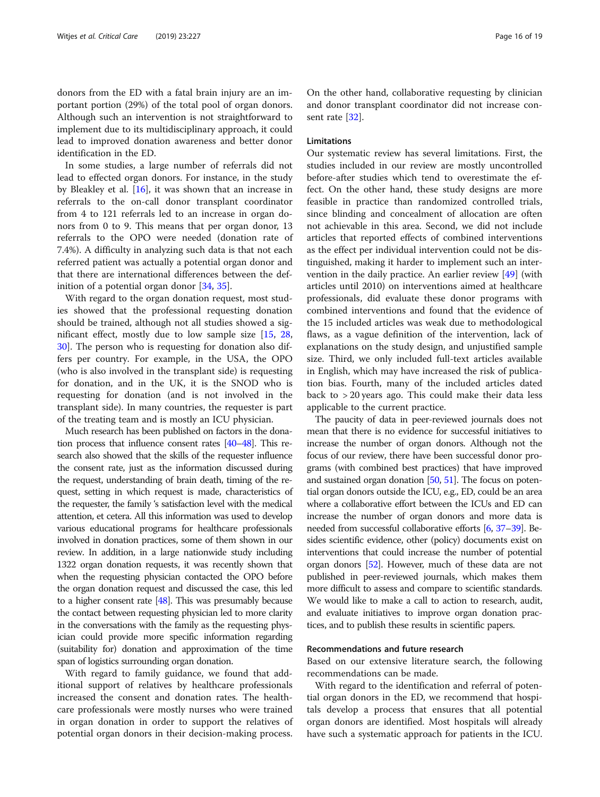donors from the ED with a fatal brain injury are an important portion (29%) of the total pool of organ donors. Although such an intervention is not straightforward to implement due to its multidisciplinary approach, it could lead to improved donation awareness and better donor identification in the ED.

In some studies, a large number of referrals did not lead to effected organ donors. For instance, in the study by Bleakley et al. [[16](#page-17-0)], it was shown that an increase in referrals to the on-call donor transplant coordinator from 4 to 121 referrals led to an increase in organ donors from 0 to 9. This means that per organ donor, 13 referrals to the OPO were needed (donation rate of 7.4%). A difficulty in analyzing such data is that not each referred patient was actually a potential organ donor and that there are international differences between the definition of a potential organ donor [[34](#page-17-0), [35](#page-17-0)].

With regard to the organ donation request, most studies showed that the professional requesting donation should be trained, although not all studies showed a significant effect, mostly due to low sample size [[15,](#page-17-0) [28](#page-17-0), [30\]](#page-17-0). The person who is requesting for donation also differs per country. For example, in the USA, the OPO (who is also involved in the transplant side) is requesting for donation, and in the UK, it is the SNOD who is requesting for donation (and is not involved in the transplant side). In many countries, the requester is part of the treating team and is mostly an ICU physician.

Much research has been published on factors in the donation process that influence consent rates [\[40](#page-17-0)–[48\]](#page-17-0). This research also showed that the skills of the requester influence the consent rate, just as the information discussed during the request, understanding of brain death, timing of the request, setting in which request is made, characteristics of the requester, the family 's satisfaction level with the medical attention, et cetera. All this information was used to develop various educational programs for healthcare professionals involved in donation practices, some of them shown in our review. In addition, in a large nationwide study including 1322 organ donation requests, it was recently shown that when the requesting physician contacted the OPO before the organ donation request and discussed the case, this led to a higher consent rate [\[48](#page-17-0)]. This was presumably because the contact between requesting physician led to more clarity in the conversations with the family as the requesting physician could provide more specific information regarding (suitability for) donation and approximation of the time span of logistics surrounding organ donation.

With regard to family guidance, we found that additional support of relatives by healthcare professionals increased the consent and donation rates. The healthcare professionals were mostly nurses who were trained in organ donation in order to support the relatives of potential organ donors in their decision-making process.

On the other hand, collaborative requesting by clinician and donor transplant coordinator did not increase consent rate [\[32](#page-17-0)].

# Limitations

Our systematic review has several limitations. First, the studies included in our review are mostly uncontrolled before-after studies which tend to overestimate the effect. On the other hand, these study designs are more feasible in practice than randomized controlled trials, since blinding and concealment of allocation are often not achievable in this area. Second, we did not include articles that reported effects of combined interventions as the effect per individual intervention could not be distinguished, making it harder to implement such an intervention in the daily practice. An earlier review [[49](#page-17-0)] (with articles until 2010) on interventions aimed at healthcare professionals, did evaluate these donor programs with combined interventions and found that the evidence of the 15 included articles was weak due to methodological flaws, as a vague definition of the intervention, lack of explanations on the study design, and unjustified sample size. Third, we only included full-text articles available in English, which may have increased the risk of publication bias. Fourth, many of the included articles dated back to > 20 years ago. This could make their data less applicable to the current practice.

The paucity of data in peer-reviewed journals does not mean that there is no evidence for successful initiatives to increase the number of organ donors. Although not the focus of our review, there have been successful donor programs (with combined best practices) that have improved and sustained organ donation [[50](#page-17-0), [51](#page-17-0)]. The focus on potential organ donors outside the ICU, e.g., ED, could be an area where a collaborative effort between the ICUs and ED can increase the number of organ donors and more data is needed from successful collaborative efforts [\[6,](#page-16-0) [37](#page-17-0)–[39](#page-17-0)]. Besides scientific evidence, other (policy) documents exist on interventions that could increase the number of potential organ donors [[52](#page-18-0)]. However, much of these data are not published in peer-reviewed journals, which makes them more difficult to assess and compare to scientific standards. We would like to make a call to action to research, audit, and evaluate initiatives to improve organ donation practices, and to publish these results in scientific papers.

# Recommendations and future research

Based on our extensive literature search, the following recommendations can be made.

With regard to the identification and referral of potential organ donors in the ED, we recommend that hospitals develop a process that ensures that all potential organ donors are identified. Most hospitals will already have such a systematic approach for patients in the ICU.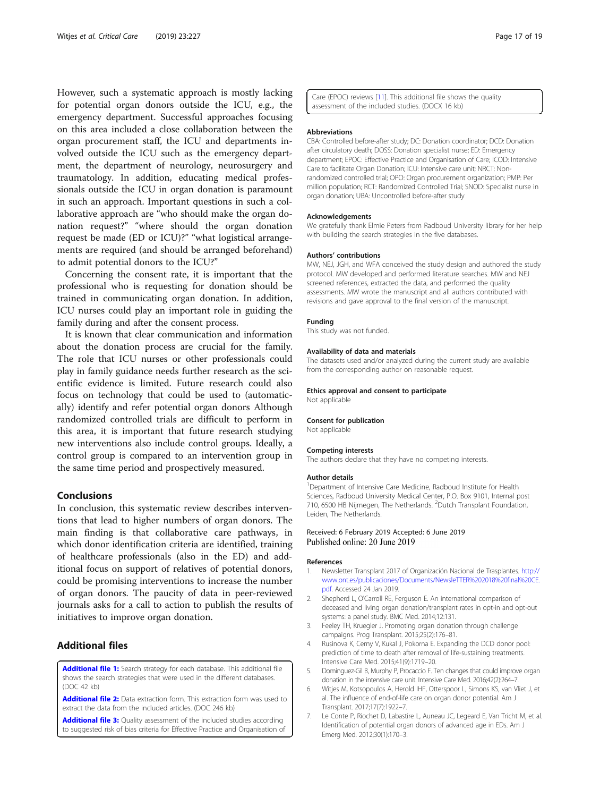<span id="page-16-0"></span>However, such a systematic approach is mostly lacking for potential organ donors outside the ICU, e.g., the emergency department. Successful approaches focusing on this area included a close collaboration between the organ procurement staff, the ICU and departments involved outside the ICU such as the emergency department, the department of neurology, neurosurgery and traumatology. In addition, educating medical professionals outside the ICU in organ donation is paramount in such an approach. Important questions in such a collaborative approach are "who should make the organ donation request?" "where should the organ donation request be made (ED or ICU)?" "what logistical arrangements are required (and should be arranged beforehand) to admit potential donors to the ICU?"

Concerning the consent rate, it is important that the professional who is requesting for donation should be trained in communicating organ donation. In addition, ICU nurses could play an important role in guiding the family during and after the consent process.

It is known that clear communication and information about the donation process are crucial for the family. The role that ICU nurses or other professionals could play in family guidance needs further research as the scientific evidence is limited. Future research could also focus on technology that could be used to (automatically) identify and refer potential organ donors Although randomized controlled trials are difficult to perform in this area, it is important that future research studying new interventions also include control groups. Ideally, a control group is compared to an intervention group in the same time period and prospectively measured.

# Conclusions

In conclusion, this systematic review describes interventions that lead to higher numbers of organ donors. The main finding is that collaborative care pathways, in which donor identification criteria are identified, training of healthcare professionals (also in the ED) and additional focus on support of relatives of potential donors, could be promising interventions to increase the number of organ donors. The paucity of data in peer-reviewed journals asks for a call to action to publish the results of initiatives to improve organ donation.

# Additional files

[Additional file 1:](https://doi.org/10.1186/s13054-019-2509-3) Search strategy for each database. This additional file shows the search strategies that were used in the different databases. (DOC 42 kb)

[Additional file 2:](https://doi.org/10.1186/s13054-019-2509-3) Data extraction form. This extraction form was used to extract the data from the included articles. (DOC 246 kb)

[Additional file 3:](https://doi.org/10.1186/s13054-019-2509-3) Quality assessment of the included studies according to suggested risk of bias criteria for Effective Practice and Organisation of Care (EPOC) reviews [[11\]](#page-17-0). This additional file shows the quality assessment of the included studies. (DOCX 16 kb)

## Abbreviations

CBA: Controlled before-after study; DC: Donation coordinator; DCD: Donation after circulatory death; DOSS: Donation specialist nurse; ED: Emergency department; EPOC: Effective Practice and Organisation of Care; ICOD: Intensive Care to facilitate Organ Donation; ICU: Intensive care unit; NRCT: Nonrandomized controlled trial; OPO: Organ procurement organization; PMP: Per million population; RCT: Randomized Controlled Trial; SNOD: Specialist nurse in organ donation; UBA: Uncontrolled before-after study

#### Acknowledgements

We gratefully thank Elmie Peters from Radboud University library for her help with building the search strategies in the five databases.

### Authors' contributions

MW, NEJ, JGH, and WFA conceived the study design and authored the study protocol. MW developed and performed literature searches. MW and NEJ screened references, extracted the data, and performed the quality assessments. MW wrote the manuscript and all authors contributed with revisions and gave approval to the final version of the manuscript.

#### Funding

This study was not funded.

#### Availability of data and materials

The datasets used and/or analyzed during the current study are available from the corresponding author on reasonable request.

#### Ethics approval and consent to participate

Not applicable

#### Consent for publication

Not applicable

## Competing interests

The authors declare that they have no competing interests.

#### Author details

<sup>1</sup>Department of Intensive Care Medicine, Radboud Institute for Health Sciences, Radboud University Medical Center, P.O. Box 9101, Internal post 710, 6500 HB Nijmegen, The Netherlands. <sup>2</sup>Dutch Transplant Foundation Leiden, The Netherlands.

# Received: 6 February 2019 Accepted: 6 June 2019 Published online: 20 June 2019

#### References

- 1. Newsletter Transplant 2017 of Organización Nacional de Trasplantes. [http://](http://www.ont.es/publicaciones/Documents/NewsleTTER%202018%20final%20CE.pdf) [www.ont.es/publicaciones/Documents/NewsleTTER%202018%20final%20CE.](http://www.ont.es/publicaciones/Documents/NewsleTTER%202018%20final%20CE.pdf) [pdf](http://www.ont.es/publicaciones/Documents/NewsleTTER%202018%20final%20CE.pdf). Accessed 24 Jan 2019.
- 2. Shepherd L, O'Carroll RE, Ferguson E. An international comparison of deceased and living organ donation/transplant rates in opt-in and opt-out systems: a panel study. BMC Med. 2014;12:131.
- 3. Feeley TH, Kruegler J. Promoting organ donation through challenge campaigns. Prog Transplant. 2015;25(2):176–81.
- 4. Rusinova K, Cerny V, Kukal J, Pokorna E. Expanding the DCD donor pool: prediction of time to death after removal of life-sustaining treatments. Intensive Care Med. 2015;41(9):1719–20.
- 5. Dominguez-Gil B, Murphy P, Procaccio F. Ten changes that could improve organ donation in the intensive care unit. Intensive Care Med. 2016;42(2):264–7.
- 6. Witjes M, Kotsopoulos A, Herold IHF, Otterspoor L, Simons KS, van Vliet J, et al. The influence of end-of-life care on organ donor potential. Am J Transplant. 2017;17(7):1922–7.
- 7. Le Conte P, Riochet D, Labastire L, Auneau JC, Legeard E, Van Tricht M, et al. Identification of potential organ donors of advanced age in EDs. Am J Emerg Med. 2012;30(1):170–3.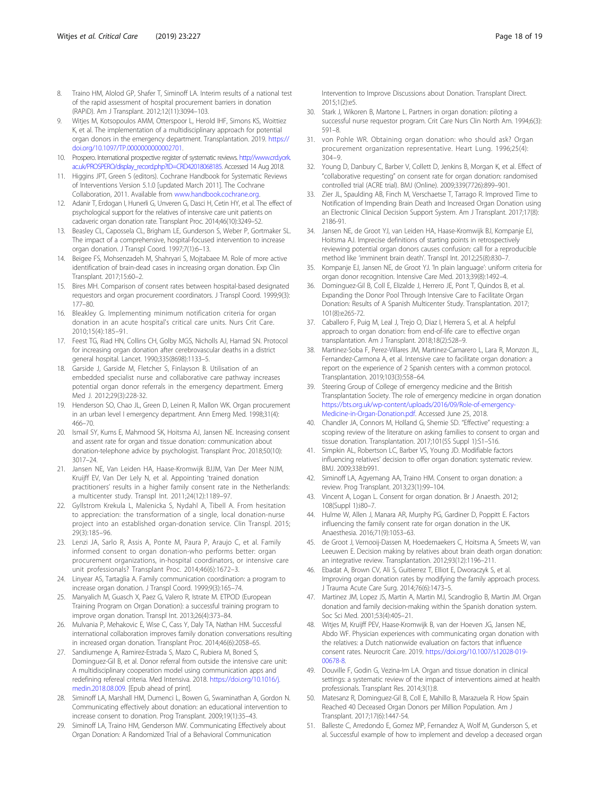- <span id="page-17-0"></span>8. Traino HM, Alolod GP, Shafer T, Siminoff LA. Interim results of a national test of the rapid assessment of hospital procurement barriers in donation (RAPiD). Am J Transplant. 2012;12(11):3094–103.
- 9. Witjes M, Kotsopoulos AMM, Otterspoor L, Herold IHF, Simons KS, Woittiez K, et al. The implementation of a multidisciplinary approach for potential organ donors in the emergency department. Transplantation. 2019. [https://](https://doi.org/10.1097/TP.0000000000002701) [doi.org/10.1097/TP.0000000000002701.](https://doi.org/10.1097/TP.0000000000002701)
- 10. Prospero. International prospective register of systematic reviews. [http://www.crd.york.](http://www.crd.york.ac.uk/PROSPERO/display_record.php?ID=CRD42018068185) [ac.uk/PROSPERO/display\\_record.php?ID=CRD42018068185](http://www.crd.york.ac.uk/PROSPERO/display_record.php?ID=CRD42018068185). Accessed 14 Aug 2018.
- 11. Higgins JPT, Green S (editors). Cochrane Handbook for Systematic Reviews of Interventions Version 5.1.0 [updated March 2011]. The Cochrane Collaboration, 2011. Available from [www.handbook.cochrane.org](https://www.handbook.cochrane.org).
- 12. Adanir T, Erdogan I, Hunerli G, Unveren G, Dasci H, Cetin HY, et al. The effect of psychological support for the relatives of intensive care unit patients on cadaveric organ donation rate. Transplant Proc. 2014;46(10):3249–52.
- 13. Beasley CL, Capossela CL, Brigham LE, Gunderson S, Weber P, Gortmaker SL. The impact of a comprehensive, hospital-focused intervention to increase organ donation. J Transpl Coord. 1997;7(1):6–13.
- 14. Beigee FS, Mohsenzadeh M, Shahryari S, Mojtabaee M. Role of more active identification of brain-dead cases in increasing organ donation. Exp Clin Transplant. 2017;15:60–2.
- 15. Bires MH. Comparison of consent rates between hospital-based designated requestors and organ procurement coordinators. J Transpl Coord. 1999;9(3): 177–80.
- 16. Bleakley G. Implementing minimum notification criteria for organ donation in an acute hospital's critical care units. Nurs Crit Care. 2010;15(4):185–91.
- 17. Feest TG, Riad HN, Collins CH, Golby MGS, Nicholls AJ, Hamad SN. Protocol for increasing organ donation after cerebrovascular deaths in a district general hospital. Lancet. 1990;335(8698):1133–5.
- 18. Garside J, Garside M, Fletcher S, Finlayson B. Utilisation of an embedded specialist nurse and collaborative care pathway increases potential organ donor referrals in the emergency department. Emerg Med J. 2012;29(3):228-32.
- 19. Henderson SO, Chao JL, Green D, Leinen R, Mallon WK. Organ procurement in an urban level I emergency department. Ann Emerg Med. 1998;31(4): 466–70.
- 20. Ismail SY, Kums E, Mahmood SK, Hoitsma AJ, Jansen NE. Increasing consent and assent rate for organ and tissue donation: communication about donation-telephone advice by psychologist. Transplant Proc. 2018;50(10): 3017–24.
- 21. Jansen NE, Van Leiden HA, Haase-Kromwijk BJJM, Van Der Meer NJM, Kruijff EV, Van Der Lely N, et al. Appointing 'trained donation practitioners' results in a higher family consent rate in the Netherlands: a multicenter study. Transpl Int. 2011;24(12):1189–97.
- 22. Gyllstrom Krekula L, Malenicka S, Nydahl A, Tibell A. From hesitation to appreciation: the transformation of a single, local donation-nurse project into an established organ-donation service. Clin Transpl. 2015; 29(3):185–96.
- 23. Lenzi JA, Sarlo R, Assis A, Ponte M, Paura P, Araujo C, et al. Family informed consent to organ donation-who performs better: organ procurement organizations, in-hospital coordinators, or intensive care unit professionals? Transplant Proc. 2014;46(6):1672–3.
- 24. Linyear AS, Tartaglia A. Family communication coordination: a program to increase organ donation. J Transpl Coord. 1999;9(3):165–74.
- 25. Manyalich M, Guasch X, Paez G, Valero R, Istrate M. ETPOD (European Training Program on Organ Donation): a successful training program to improve organ donation. Transpl Int. 2013;26(4):373–84.
- 26. Mulvania P, Mehakovic E, Wise C, Cass Y, Daly TA, Nathan HM. Successful international collaboration improves family donation conversations resulting in increased organ donation. Transplant Proc. 2014;46(6):2058–65.
- 27. Sandiumenge A, Ramirez-Estrada S, Mazo C, Rubiera M, Boned S, Dominguez-Gil B, et al. Donor referral from outside the intensive care unit: A multidisciplinary cooperation model using communication apps and redefining refereal criteria. Med Intensiva. 2018. [https://doi.org/10.1016/j.](https://doi.org/10.1016/j.medin.2018.08.009) [medin.2018.08.009](https://doi.org/10.1016/j.medin.2018.08.009). [Epub ahead of print].
- 28. Siminoff LA, Marshall HM, Dumenci L, Bowen G, Swaminathan A, Gordon N. Communicating effectively about donation: an educational intervention to increase consent to donation. Prog Transplant. 2009;19(1):35–43.
- 29. Siminoff LA, Traino HM, Genderson MW. Communicating Effectively about Organ Donation: A Randomized Trial of a Behavioral Communication

Intervention to Improve Discussions about Donation. Transplant Direct. 2015;1(2):e5.

- 30. Stark J, Wikoren B, Martone L. Partners in organ donation: piloting a successful nurse requestor program. Crit Care Nurs Clin North Am. 1994;6(3): 591–8.
- 31. von Pohle WR. Obtaining organ donation: who should ask? Organ procurement organization representative. Heart Lung. 1996;25(4): 304–9.
- 32. Young D, Danbury C, Barber V, Collett D, Jenkins B, Morgan K, et al. Effect of "collaborative requesting" on consent rate for organ donation: randomised controlled trial (ACRE trial). BMJ (Online). 2009;339(7726):899–901.
- 33. Zier JL, Spaulding AB, Finch M, Verschaetse T, Tarrago R. Improved Time to Notification of Impending Brain Death and Increased Organ Donation using an Electronic Clinical Decision Support System. Am J Transplant. 2017;17(8): 2186-91.
- 34. Jansen NE, de Groot YJ, van Leiden HA, Haase-Kromwijk BJ, Kompanje EJ, Hoitsma AJ. Imprecise definitions of starting points in retrospectively reviewing potential organ donors causes confusion: call for a reproducible method like 'imminent brain death'. Transpl Int. 2012;25(8):830–7.
- 35. Kompanje EJ, Jansen NE, de Groot YJ. 'In plain language': uniform criteria for organ donor recognition. Intensive Care Med. 2013;39(8):1492–4.
- 36. Dominguez-Gil B, Coll E, Elizalde J, Herrero JE, Pont T, Quindos B, et al. Expanding the Donor Pool Through Intensive Care to Facilitate Organ Donation: Results of A Spanish Multicenter Study. Transplantation. 2017; 101(8):e265-72.
- 37. Caballero F, Puig M, Leal J, Trejo O, Diaz I, Herrera S, et al. A helpful approach to organ donation: from end-of-life care to effective organ transplantation. Am J Transplant. 2018;18(2):528–9.
- Martinez-Soba F, Perez-Villares JM, Martinez-Camarero L, Lara R, Monzon JL, Fernandez-Carmona A, et al. Intensive care to facilitate organ donation: a report on the experience of 2 Spanish centers with a common protocol. Transplantation. 2019;103(3):558–64.
- 39. Steering Group of College of emergency medicine and the British Transplantation Society. The role of emergency medicine in organ donation [https://bts.org.uk/wp-content/uploads/2016/09/Role-of-emergency-](https://bts.org.uk/wp-content/uploads/2016/09/Role-of-emergency-Medicine-in-Organ-Donation.pdf)[Medicine-in-Organ-Donation.pdf](https://bts.org.uk/wp-content/uploads/2016/09/Role-of-emergency-Medicine-in-Organ-Donation.pdf). Accessed June 25, 2018.
- 40. Chandler JA, Connors M, Holland G, Shemie SD. "Effective" requesting: a scoping review of the literature on asking families to consent to organ and tissue donation. Transplantation. 2017;101(5S Suppl 1):S1–S16.
- 41. Simpkin AL, Robertson LC, Barber VS, Young JD. Modifiable factors influencing relatives' decision to offer organ donation: systematic review. BMJ. 2009;338:b991.
- 42. Siminoff LA, Agyemang AA, Traino HM. Consent to organ donation: a review. Prog Transplant. 2013;23(1):99–104.
- 43. Vincent A, Logan L. Consent for organ donation. Br J Anaesth. 2012; 108(Suppl 1):i80–7.
- 44. Hulme W, Allen J, Manara AR, Murphy PG, Gardiner D, Poppitt E. Factors influencing the family consent rate for organ donation in the UK. Anaesthesia. 2016;71(9):1053–63.
- 45. de Groot J, Vernooij-Dassen M, Hoedemaekers C, Hoitsma A, Smeets W, van Leeuwen E. Decision making by relatives about brain death organ donation: an integrative review. Transplantation. 2012;93(12):1196–211.
- 46. Ebadat A, Brown CV, Ali S, Guitierrez T, Elliot E, Dworaczyk S, et al. Improving organ donation rates by modifying the family approach process. J Trauma Acute Care Surg. 2014;76(6):1473–5.
- 47. Martinez JM, Lopez JS, Martin A, Martin MJ, Scandroglio B, Martin JM. Organ donation and family decision-making within the Spanish donation system. Soc Sci Med. 2001;53(4):405–21.
- 48. Witjes M, Kruijff PEV, Haase-Kromwijk B, van der Hoeven JG, Jansen NE, Abdo WF. Physician experiences with communicating organ donation with the relatives: a Dutch nationwide evaluation on factors that influence consent rates. Neurocrit Care. 2019. [https://doi.org/10.1007/s12028-019-](https://doi.org/10.1007/s12028-019-00678-8) [00678-8](https://doi.org/10.1007/s12028-019-00678-8).
- 49. Douville F, Godin G, Vezina-Im LA. Organ and tissue donation in clinical settings: a systematic review of the impact of interventions aimed at health professionals. Transplant Res. 2014;3(1):8.
- 50. Matesanz R, Dominguez-Gil B, Coll E, Mahillo B, Marazuela R. How Spain Reached 40 Deceased Organ Donors per Million Population. Am J Transplant. 2017;17(6):1447-54.
- 51. Balleste C, Arredondo E, Gomez MP, Fernandez A, Wolf M, Gunderson S, et al. Successful example of how to implement and develop a deceased organ